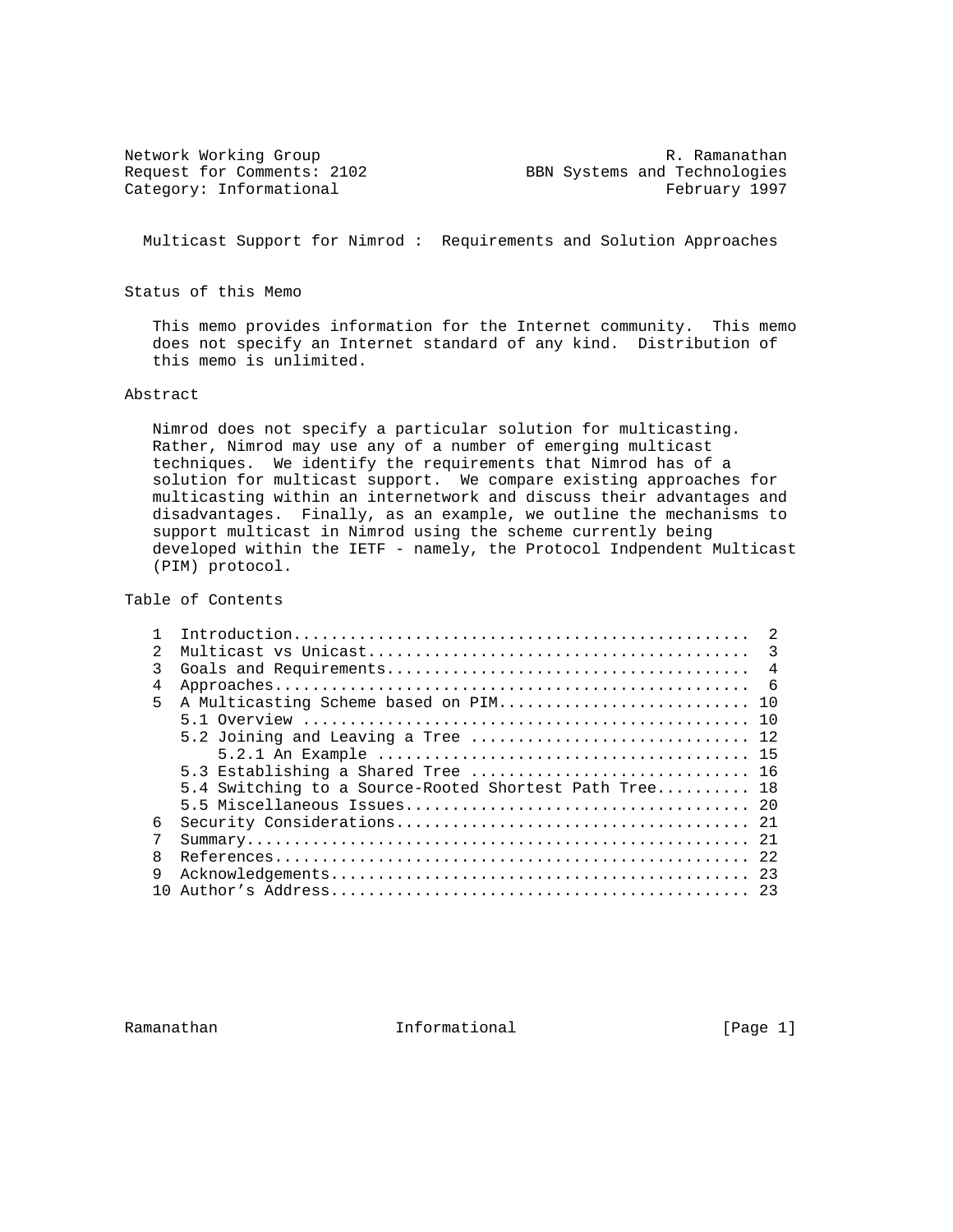Network Working Group<br>Request for Comments: 2102 BBN Systems and Technologies BBN Systems and Technologies Category: Informational example of the February 1997

Multicast Support for Nimrod : Requirements and Solution Approaches

Status of this Memo

 This memo provides information for the Internet community. This memo does not specify an Internet standard of any kind. Distribution of this memo is unlimited.

### Abstract

 Nimrod does not specify a particular solution for multicasting. Rather, Nimrod may use any of a number of emerging multicast techniques. We identify the requirements that Nimrod has of a solution for multicast support. We compare existing approaches for multicasting within an internetwork and discuss their advantages and disadvantages. Finally, as an example, we outline the mechanisms to support multicast in Nimrod using the scheme currently being developed within the IETF - namely, the Protocol Indpendent Multicast (PIM) protocol.

# Table of Contents

|                | $\mathcal{L}$                                          |  |
|----------------|--------------------------------------------------------|--|
| $\mathfrak{D}$ |                                                        |  |
| 3              |                                                        |  |
| 4              |                                                        |  |
| 5              |                                                        |  |
|                |                                                        |  |
|                | 5.2 Joining and Leaving a Tree  12                     |  |
|                |                                                        |  |
|                | 5.3 Establishing a Shared Tree  16                     |  |
|                | 5.4 Switching to a Source-Rooted Shortest Path Tree 18 |  |
|                |                                                        |  |
| 6              |                                                        |  |
| 7              |                                                        |  |
| R              |                                                        |  |
| 9              |                                                        |  |
|                |                                                        |  |

Ramanathan **Informational** Informational [Page 1]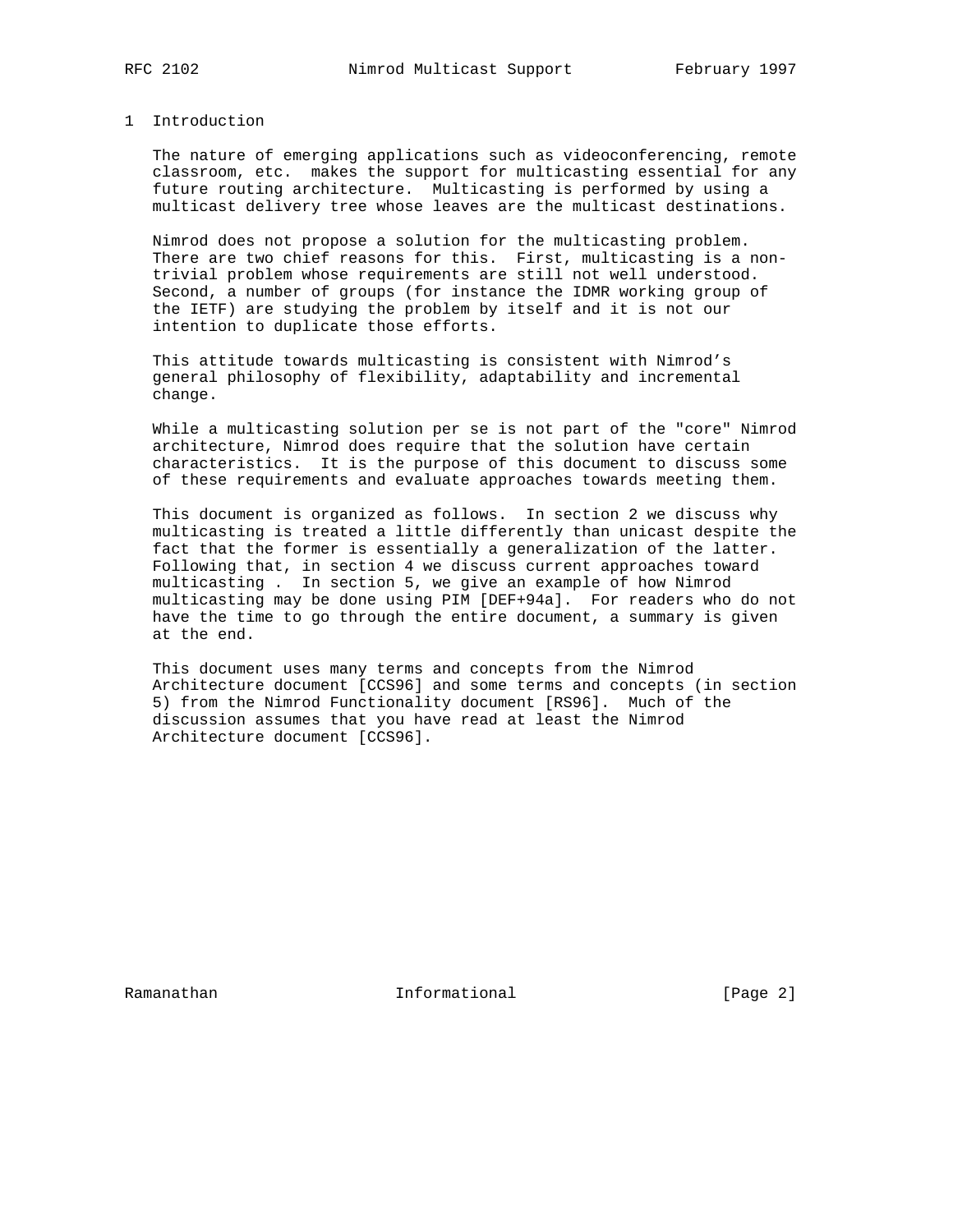### 1 Introduction

 The nature of emerging applications such as videoconferencing, remote classroom, etc. makes the support for multicasting essential for any future routing architecture. Multicasting is performed by using a multicast delivery tree whose leaves are the multicast destinations.

 Nimrod does not propose a solution for the multicasting problem. There are two chief reasons for this. First, multicasting is a non trivial problem whose requirements are still not well understood. Second, a number of groups (for instance the IDMR working group of the IETF) are studying the problem by itself and it is not our intention to duplicate those efforts.

 This attitude towards multicasting is consistent with Nimrod's general philosophy of flexibility, adaptability and incremental change.

 While a multicasting solution per se is not part of the "core" Nimrod architecture, Nimrod does require that the solution have certain characteristics. It is the purpose of this document to discuss some of these requirements and evaluate approaches towards meeting them.

 This document is organized as follows. In section 2 we discuss why multicasting is treated a little differently than unicast despite the fact that the former is essentially a generalization of the latter. Following that, in section 4 we discuss current approaches toward multicasting . In section 5, we give an example of how Nimrod multicasting may be done using PIM [DEF+94a]. For readers who do not have the time to go through the entire document, a summary is given at the end.

 This document uses many terms and concepts from the Nimrod Architecture document [CCS96] and some terms and concepts (in section 5) from the Nimrod Functionality document [RS96]. Much of the discussion assumes that you have read at least the Nimrod Architecture document [CCS96].

Ramanathan **Informational** Informational [Page 2]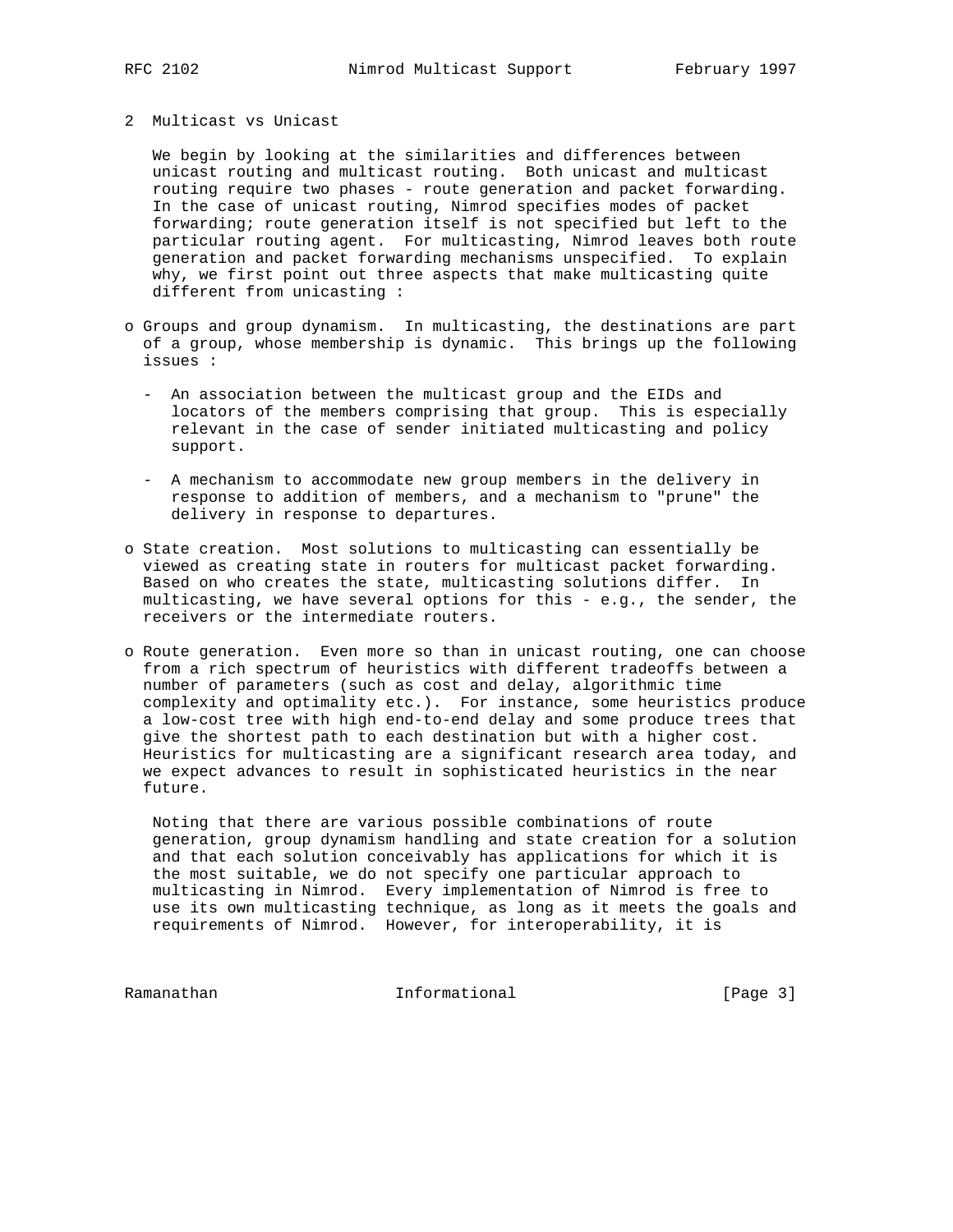### 2 Multicast vs Unicast

 We begin by looking at the similarities and differences between unicast routing and multicast routing. Both unicast and multicast routing require two phases - route generation and packet forwarding. In the case of unicast routing, Nimrod specifies modes of packet forwarding; route generation itself is not specified but left to the particular routing agent. For multicasting, Nimrod leaves both route generation and packet forwarding mechanisms unspecified. To explain why, we first point out three aspects that make multicasting quite different from unicasting :

- o Groups and group dynamism. In multicasting, the destinations are part of a group, whose membership is dynamic. This brings up the following issues :
	- An association between the multicast group and the EIDs and locators of the members comprising that group. This is especially relevant in the case of sender initiated multicasting and policy support.
	- A mechanism to accommodate new group members in the delivery in response to addition of members, and a mechanism to "prune" the delivery in response to departures.
- o State creation. Most solutions to multicasting can essentially be viewed as creating state in routers for multicast packet forwarding. Based on who creates the state, multicasting solutions differ. In multicasting, we have several options for this - e.g., the sender, the receivers or the intermediate routers.
- o Route generation. Even more so than in unicast routing, one can choose from a rich spectrum of heuristics with different tradeoffs between a number of parameters (such as cost and delay, algorithmic time complexity and optimality etc.). For instance, some heuristics produce a low-cost tree with high end-to-end delay and some produce trees that give the shortest path to each destination but with a higher cost. Heuristics for multicasting are a significant research area today, and we expect advances to result in sophisticated heuristics in the near future.

 Noting that there are various possible combinations of route generation, group dynamism handling and state creation for a solution and that each solution conceivably has applications for which it is the most suitable, we do not specify one particular approach to multicasting in Nimrod. Every implementation of Nimrod is free to use its own multicasting technique, as long as it meets the goals and requirements of Nimrod. However, for interoperability, it is

Ramanathan Informational [Page 3]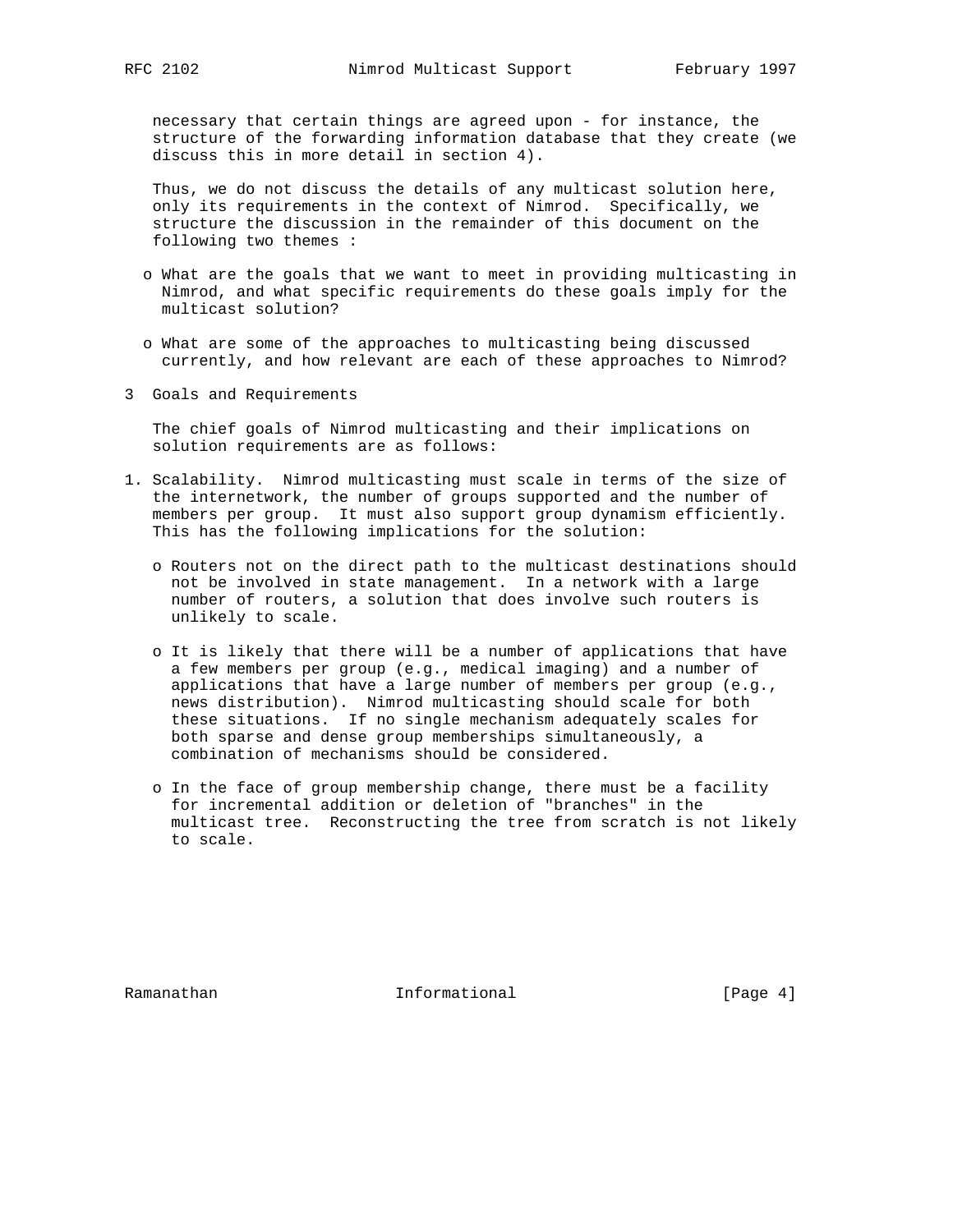necessary that certain things are agreed upon - for instance, the structure of the forwarding information database that they create (we discuss this in more detail in section 4).

 Thus, we do not discuss the details of any multicast solution here, only its requirements in the context of Nimrod. Specifically, we structure the discussion in the remainder of this document on the following two themes :

- o What are the goals that we want to meet in providing multicasting in Nimrod, and what specific requirements do these goals imply for the multicast solution?
- o What are some of the approaches to multicasting being discussed currently, and how relevant are each of these approaches to Nimrod?
- 3 Goals and Requirements

 The chief goals of Nimrod multicasting and their implications on solution requirements are as follows:

- 1. Scalability. Nimrod multicasting must scale in terms of the size of the internetwork, the number of groups supported and the number of members per group. It must also support group dynamism efficiently. This has the following implications for the solution:
	- o Routers not on the direct path to the multicast destinations should not be involved in state management. In a network with a large number of routers, a solution that does involve such routers is unlikely to scale.
	- o It is likely that there will be a number of applications that have a few members per group (e.g., medical imaging) and a number of applications that have a large number of members per group (e.g., news distribution). Nimrod multicasting should scale for both these situations. If no single mechanism adequately scales for both sparse and dense group memberships simultaneously, a combination of mechanisms should be considered.
	- o In the face of group membership change, there must be a facility for incremental addition or deletion of "branches" in the multicast tree. Reconstructing the tree from scratch is not likely to scale.

Ramanathan **Informational** Informational [Page 4]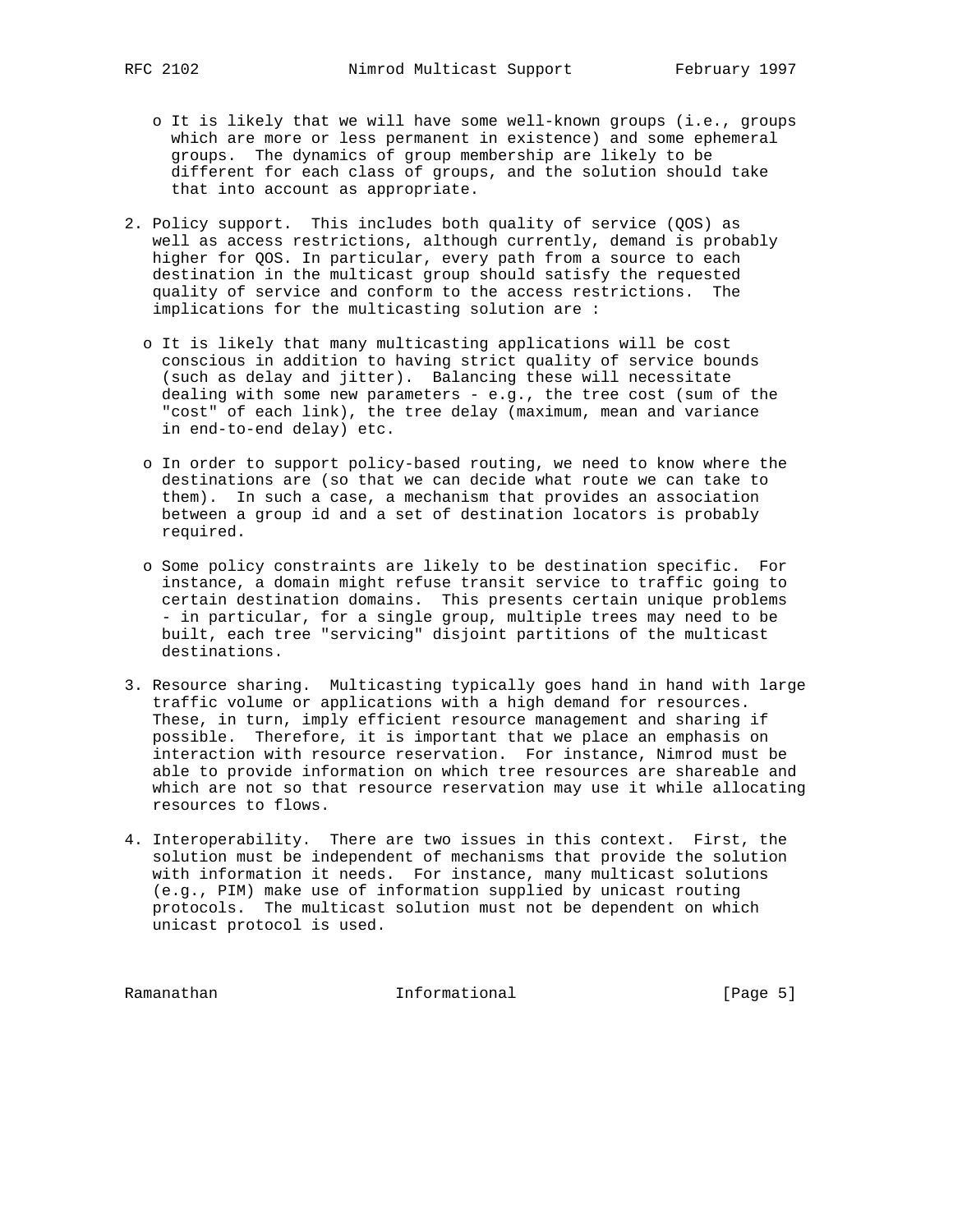- o It is likely that we will have some well-known groups (i.e., groups which are more or less permanent in existence) and some ephemeral groups. The dynamics of group membership are likely to be different for each class of groups, and the solution should take that into account as appropriate.
- 2. Policy support. This includes both quality of service (QOS) as well as access restrictions, although currently, demand is probably higher for QOS. In particular, every path from a source to each destination in the multicast group should satisfy the requested quality of service and conform to the access restrictions. The implications for the multicasting solution are :
	- o It is likely that many multicasting applications will be cost conscious in addition to having strict quality of service bounds (such as delay and jitter). Balancing these will necessitate dealing with some new parameters - e.g., the tree cost (sum of the "cost" of each link), the tree delay (maximum, mean and variance in end-to-end delay) etc.
	- o In order to support policy-based routing, we need to know where the destinations are (so that we can decide what route we can take to them). In such a case, a mechanism that provides an association between a group id and a set of destination locators is probably required.
	- o Some policy constraints are likely to be destination specific. For instance, a domain might refuse transit service to traffic going to certain destination domains. This presents certain unique problems - in particular, for a single group, multiple trees may need to be built, each tree "servicing" disjoint partitions of the multicast destinations.
- 3. Resource sharing. Multicasting typically goes hand in hand with large traffic volume or applications with a high demand for resources. These, in turn, imply efficient resource management and sharing if possible. Therefore, it is important that we place an emphasis on interaction with resource reservation. For instance, Nimrod must be able to provide information on which tree resources are shareable and which are not so that resource reservation may use it while allocating resources to flows.
- 4. Interoperability. There are two issues in this context. First, the solution must be independent of mechanisms that provide the solution with information it needs. For instance, many multicast solutions (e.g., PIM) make use of information supplied by unicast routing protocols. The multicast solution must not be dependent on which unicast protocol is used.

Ramanathan Informational [Page 5]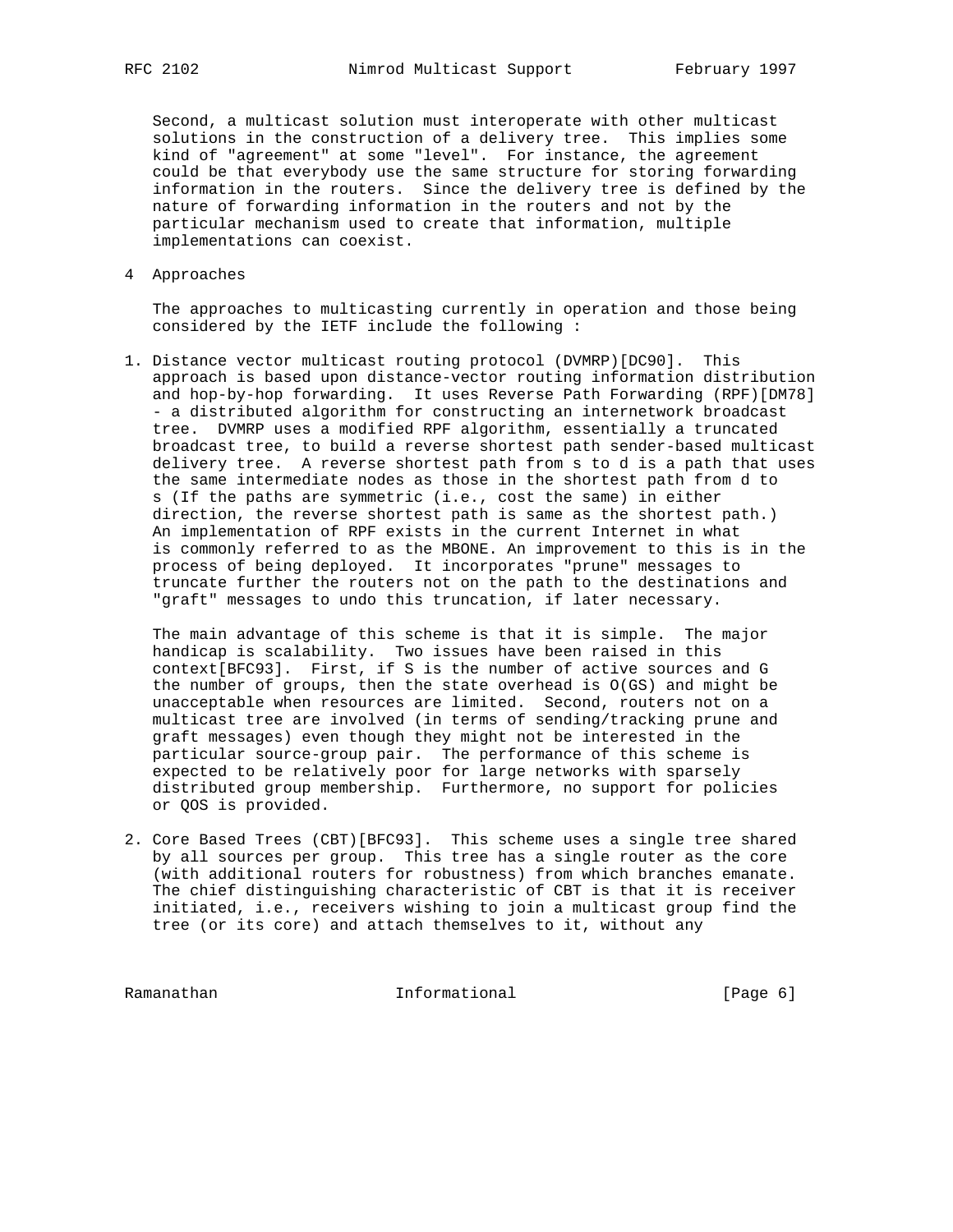Second, a multicast solution must interoperate with other multicast solutions in the construction of a delivery tree. This implies some kind of "agreement" at some "level". For instance, the agreement could be that everybody use the same structure for storing forwarding information in the routers. Since the delivery tree is defined by the nature of forwarding information in the routers and not by the particular mechanism used to create that information, multiple implementations can coexist.

4 Approaches

 The approaches to multicasting currently in operation and those being considered by the IETF include the following :

1. Distance vector multicast routing protocol (DVMRP)[DC90]. This approach is based upon distance-vector routing information distribution and hop-by-hop forwarding. It uses Reverse Path Forwarding (RPF)[DM78] - a distributed algorithm for constructing an internetwork broadcast tree. DVMRP uses a modified RPF algorithm, essentially a truncated broadcast tree, to build a reverse shortest path sender-based multicast delivery tree. A reverse shortest path from s to d is a path that uses the same intermediate nodes as those in the shortest path from d to s (If the paths are symmetric (i.e., cost the same) in either direction, the reverse shortest path is same as the shortest path.) An implementation of RPF exists in the current Internet in what is commonly referred to as the MBONE. An improvement to this is in the process of being deployed. It incorporates "prune" messages to truncate further the routers not on the path to the destinations and "graft" messages to undo this truncation, if later necessary.

 The main advantage of this scheme is that it is simple. The major handicap is scalability. Two issues have been raised in this context[BFC93]. First, if S is the number of active sources and G the number of groups, then the state overhead is O(GS) and might be unacceptable when resources are limited. Second, routers not on a multicast tree are involved (in terms of sending/tracking prune and graft messages) even though they might not be interested in the particular source-group pair. The performance of this scheme is expected to be relatively poor for large networks with sparsely distributed group membership. Furthermore, no support for policies or QOS is provided.

2. Core Based Trees (CBT)[BFC93]. This scheme uses a single tree shared by all sources per group. This tree has a single router as the core (with additional routers for robustness) from which branches emanate. The chief distinguishing characteristic of CBT is that it is receiver initiated, i.e., receivers wishing to join a multicast group find the tree (or its core) and attach themselves to it, without any

Ramanathan Informational [Page 6]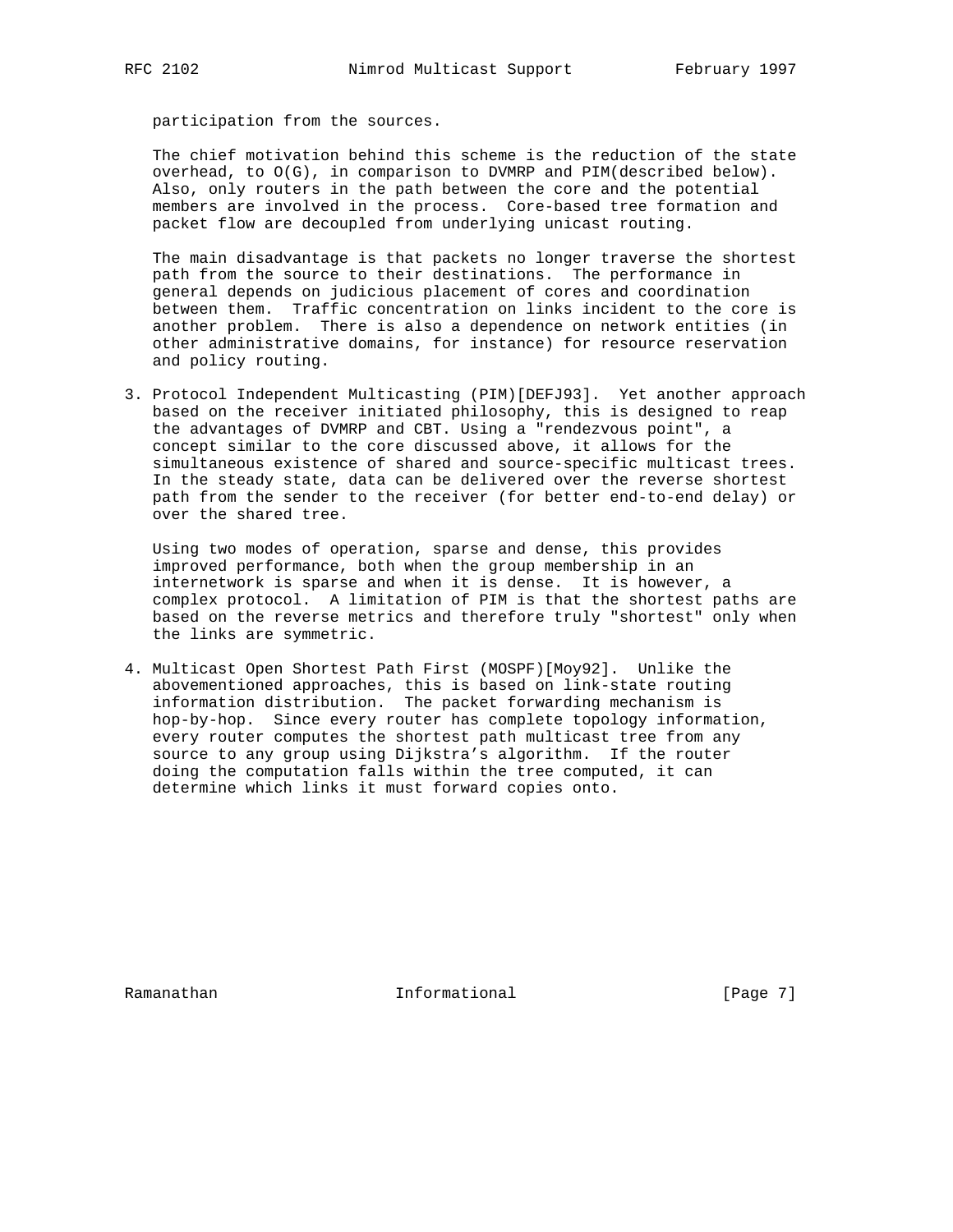participation from the sources.

 The chief motivation behind this scheme is the reduction of the state overhead, to O(G), in comparison to DVMRP and PIM(described below). Also, only routers in the path between the core and the potential members are involved in the process. Core-based tree formation and packet flow are decoupled from underlying unicast routing.

 The main disadvantage is that packets no longer traverse the shortest path from the source to their destinations. The performance in general depends on judicious placement of cores and coordination between them. Traffic concentration on links incident to the core is another problem. There is also a dependence on network entities (in other administrative domains, for instance) for resource reservation and policy routing.

3. Protocol Independent Multicasting (PIM)[DEFJ93]. Yet another approach based on the receiver initiated philosophy, this is designed to reap the advantages of DVMRP and CBT. Using a "rendezvous point", a concept similar to the core discussed above, it allows for the simultaneous existence of shared and source-specific multicast trees. In the steady state, data can be delivered over the reverse shortest path from the sender to the receiver (for better end-to-end delay) or over the shared tree.

 Using two modes of operation, sparse and dense, this provides improved performance, both when the group membership in an internetwork is sparse and when it is dense. It is however, a complex protocol. A limitation of PIM is that the shortest paths are based on the reverse metrics and therefore truly "shortest" only when the links are symmetric.

4. Multicast Open Shortest Path First (MOSPF)[Moy92]. Unlike the abovementioned approaches, this is based on link-state routing information distribution. The packet forwarding mechanism is hop-by-hop. Since every router has complete topology information, every router computes the shortest path multicast tree from any source to any group using Dijkstra's algorithm. If the router doing the computation falls within the tree computed, it can determine which links it must forward copies onto.

Ramanathan **Informational** Informational [Page 7]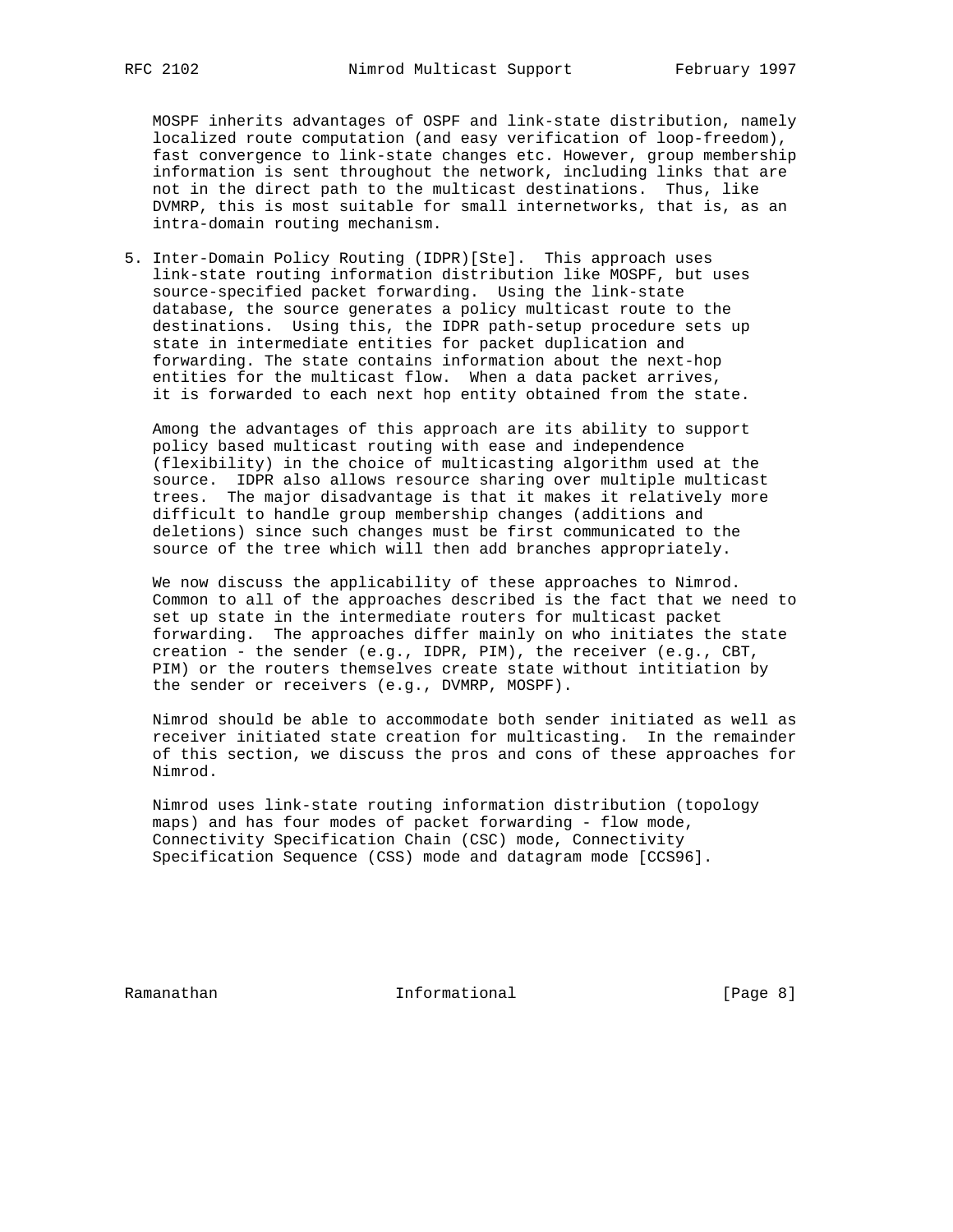MOSPF inherits advantages of OSPF and link-state distribution, namely localized route computation (and easy verification of loop-freedom), fast convergence to link-state changes etc. However, group membership information is sent throughout the network, including links that are not in the direct path to the multicast destinations. Thus, like DVMRP, this is most suitable for small internetworks, that is, as an intra-domain routing mechanism.

5. Inter-Domain Policy Routing (IDPR)[Ste]. This approach uses link-state routing information distribution like MOSPF, but uses source-specified packet forwarding. Using the link-state database, the source generates a policy multicast route to the destinations. Using this, the IDPR path-setup procedure sets up state in intermediate entities for packet duplication and forwarding. The state contains information about the next-hop entities for the multicast flow. When a data packet arrives, it is forwarded to each next hop entity obtained from the state.

 Among the advantages of this approach are its ability to support policy based multicast routing with ease and independence (flexibility) in the choice of multicasting algorithm used at the source. IDPR also allows resource sharing over multiple multicast trees. The major disadvantage is that it makes it relatively more difficult to handle group membership changes (additions and deletions) since such changes must be first communicated to the source of the tree which will then add branches appropriately.

 We now discuss the applicability of these approaches to Nimrod. Common to all of the approaches described is the fact that we need to set up state in the intermediate routers for multicast packet forwarding. The approaches differ mainly on who initiates the state creation - the sender (e.g., IDPR, PIM), the receiver (e.g., CBT, PIM) or the routers themselves create state without intitiation by the sender or receivers (e.g., DVMRP, MOSPF).

 Nimrod should be able to accommodate both sender initiated as well as receiver initiated state creation for multicasting. In the remainder of this section, we discuss the pros and cons of these approaches for Nimrod.

 Nimrod uses link-state routing information distribution (topology maps) and has four modes of packet forwarding - flow mode, Connectivity Specification Chain (CSC) mode, Connectivity Specification Sequence (CSS) mode and datagram mode [CCS96].

Ramanathan **Informational** Informational [Page 8]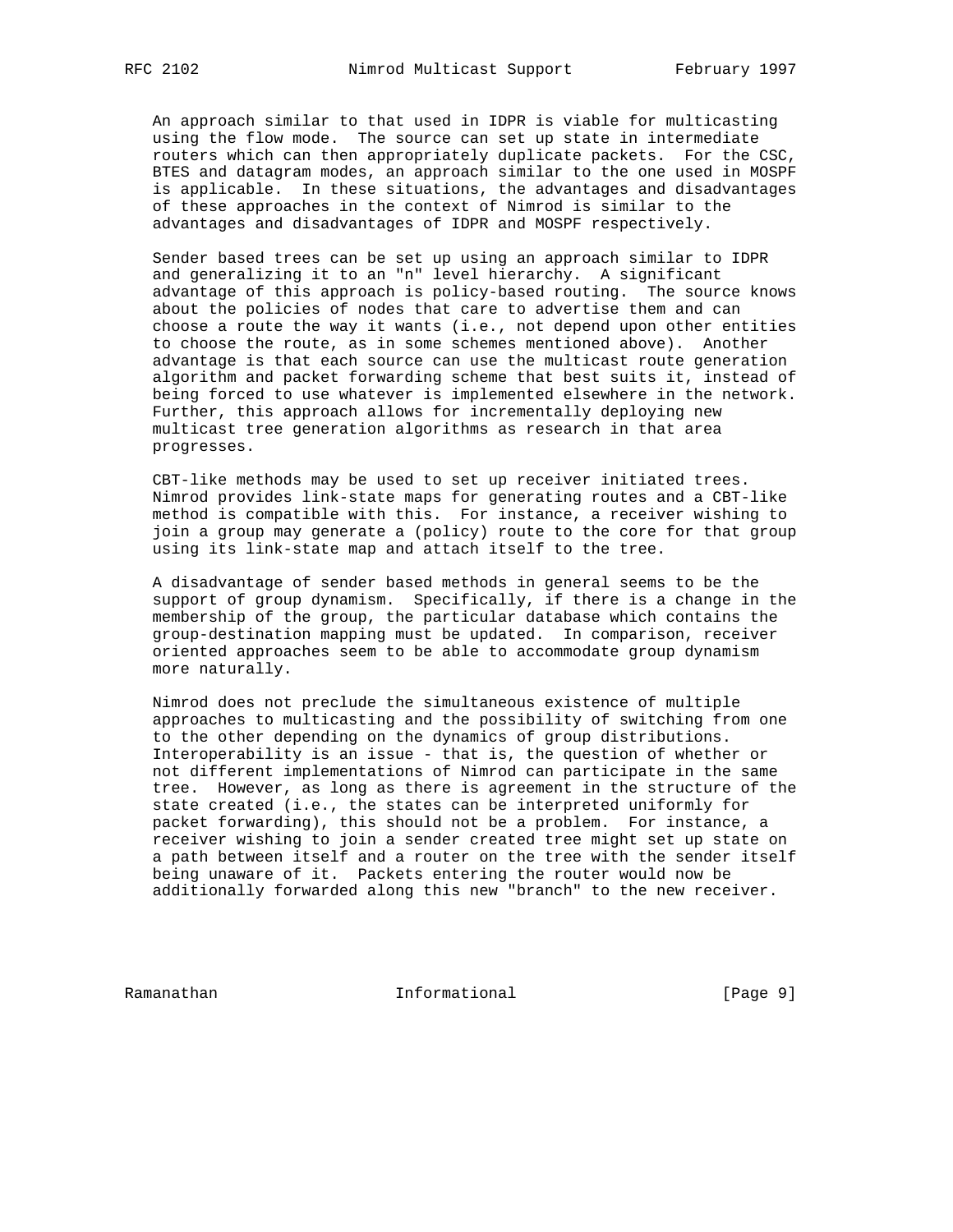An approach similar to that used in IDPR is viable for multicasting using the flow mode. The source can set up state in intermediate routers which can then appropriately duplicate packets. For the CSC, BTES and datagram modes, an approach similar to the one used in MOSPF is applicable. In these situations, the advantages and disadvantages of these approaches in the context of Nimrod is similar to the advantages and disadvantages of IDPR and MOSPF respectively.

 Sender based trees can be set up using an approach similar to IDPR and generalizing it to an "n" level hierarchy. A significant advantage of this approach is policy-based routing. The source knows about the policies of nodes that care to advertise them and can choose a route the way it wants (i.e., not depend upon other entities to choose the route, as in some schemes mentioned above). Another advantage is that each source can use the multicast route generation algorithm and packet forwarding scheme that best suits it, instead of being forced to use whatever is implemented elsewhere in the network. Further, this approach allows for incrementally deploying new multicast tree generation algorithms as research in that area progresses.

 CBT-like methods may be used to set up receiver initiated trees. Nimrod provides link-state maps for generating routes and a CBT-like method is compatible with this. For instance, a receiver wishing to join a group may generate a (policy) route to the core for that group using its link-state map and attach itself to the tree.

 A disadvantage of sender based methods in general seems to be the support of group dynamism. Specifically, if there is a change in the membership of the group, the particular database which contains the group-destination mapping must be updated. In comparison, receiver oriented approaches seem to be able to accommodate group dynamism more naturally.

 Nimrod does not preclude the simultaneous existence of multiple approaches to multicasting and the possibility of switching from one to the other depending on the dynamics of group distributions. Interoperability is an issue - that is, the question of whether or not different implementations of Nimrod can participate in the same tree. However, as long as there is agreement in the structure of the state created (i.e., the states can be interpreted uniformly for packet forwarding), this should not be a problem. For instance, a receiver wishing to join a sender created tree might set up state on a path between itself and a router on the tree with the sender itself being unaware of it. Packets entering the router would now be additionally forwarded along this new "branch" to the new receiver.

Ramanathan **Informational** Informational [Page 9]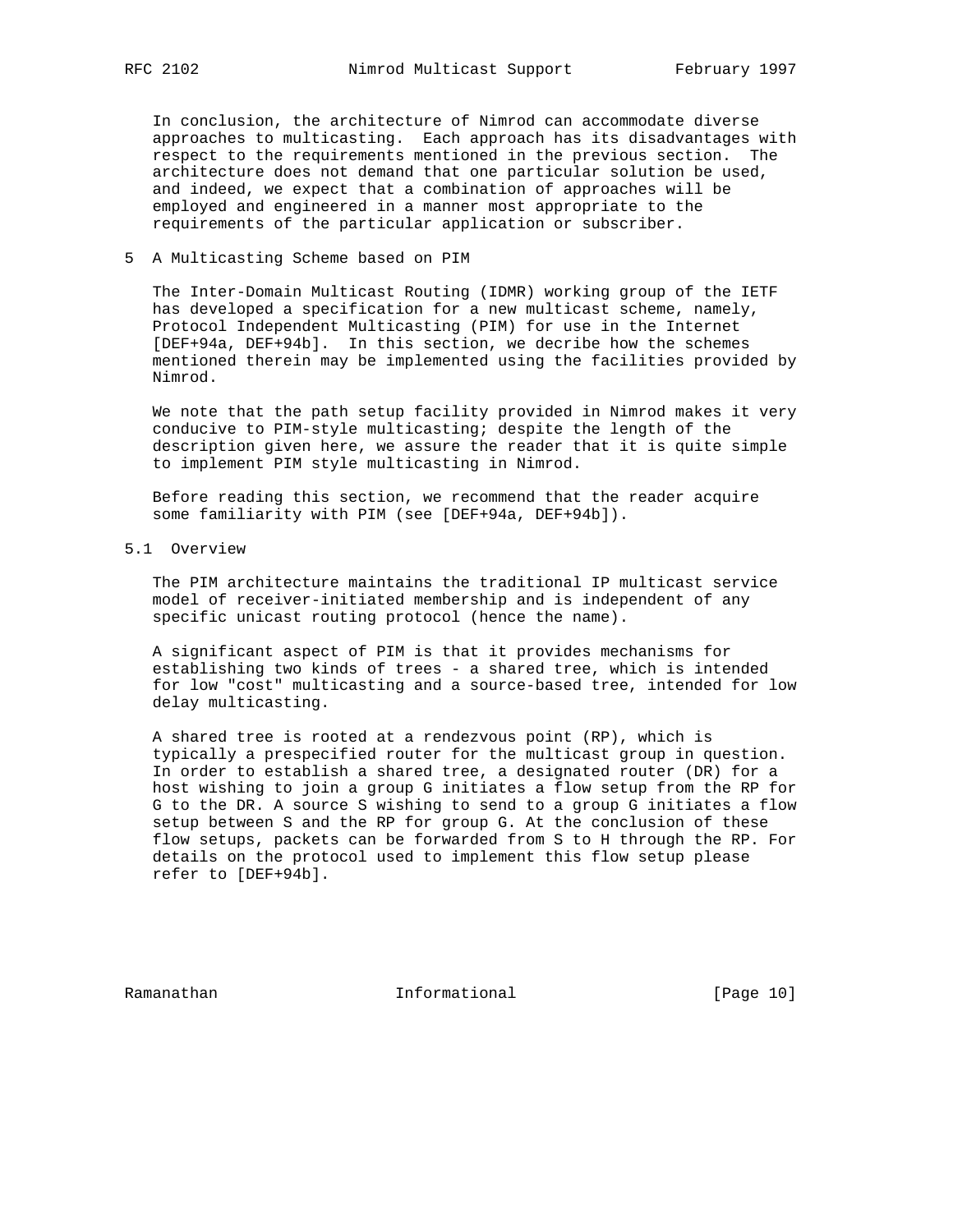In conclusion, the architecture of Nimrod can accommodate diverse approaches to multicasting. Each approach has its disadvantages with respect to the requirements mentioned in the previous section. The architecture does not demand that one particular solution be used, and indeed, we expect that a combination of approaches will be employed and engineered in a manner most appropriate to the requirements of the particular application or subscriber.

### 5 A Multicasting Scheme based on PIM

 The Inter-Domain Multicast Routing (IDMR) working group of the IETF has developed a specification for a new multicast scheme, namely, Protocol Independent Multicasting (PIM) for use in the Internet [DEF+94a, DEF+94b]. In this section, we decribe how the schemes mentioned therein may be implemented using the facilities provided by Nimrod.

 We note that the path setup facility provided in Nimrod makes it very conducive to PIM-style multicasting; despite the length of the description given here, we assure the reader that it is quite simple to implement PIM style multicasting in Nimrod.

 Before reading this section, we recommend that the reader acquire some familiarity with PIM (see [DEF+94a, DEF+94b]).

5.1 Overview

 The PIM architecture maintains the traditional IP multicast service model of receiver-initiated membership and is independent of any specific unicast routing protocol (hence the name).

 A significant aspect of PIM is that it provides mechanisms for establishing two kinds of trees - a shared tree, which is intended for low "cost" multicasting and a source-based tree, intended for low delay multicasting.

 A shared tree is rooted at a rendezvous point (RP), which is typically a prespecified router for the multicast group in question. In order to establish a shared tree, a designated router (DR) for a host wishing to join a group G initiates a flow setup from the RP for G to the DR. A source S wishing to send to a group G initiates a flow setup between S and the RP for group G. At the conclusion of these flow setups, packets can be forwarded from S to H through the RP. For details on the protocol used to implement this flow setup please refer to [DEF+94b].

Ramanathan Informational [Page 10]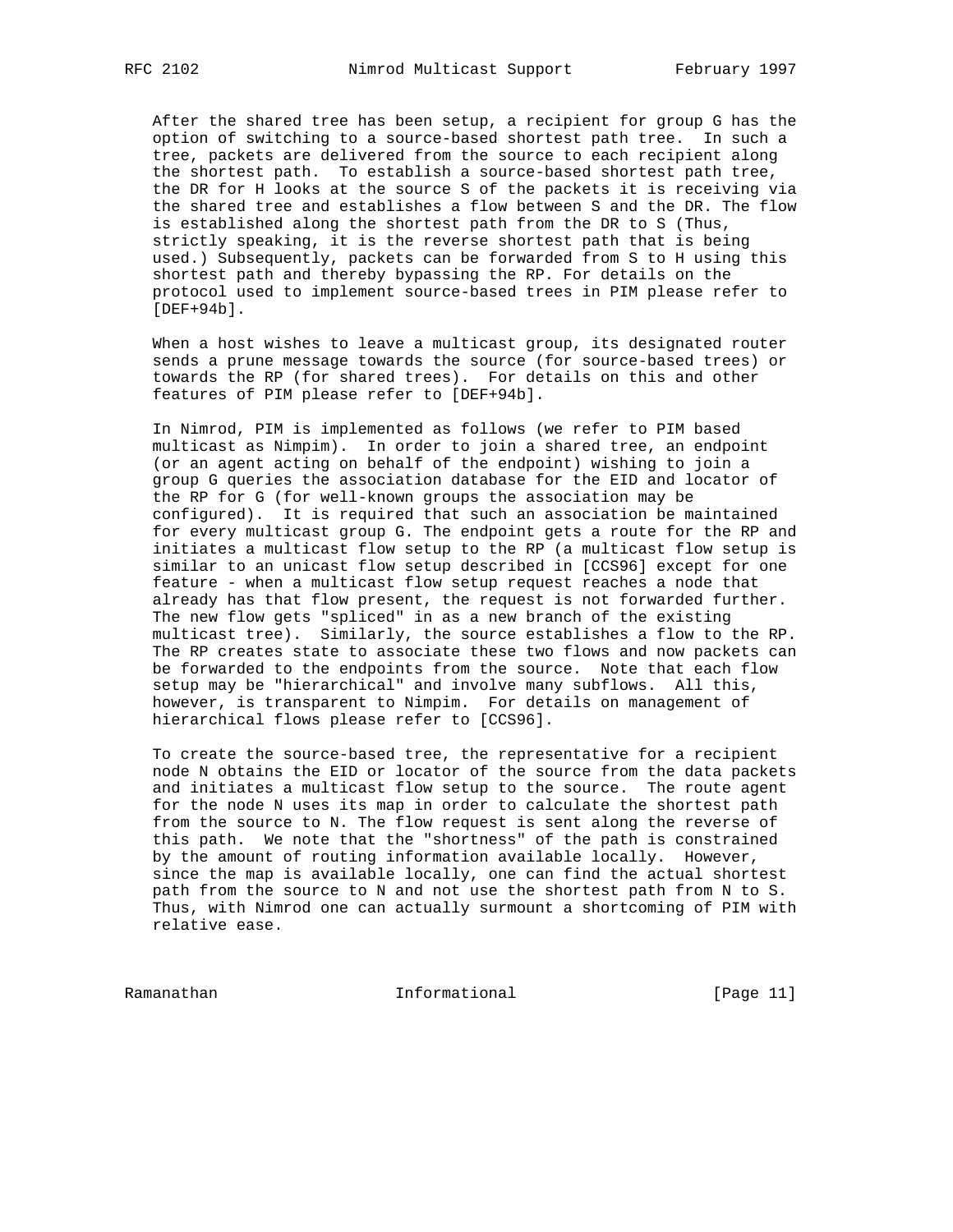After the shared tree has been setup, a recipient for group G has the option of switching to a source-based shortest path tree. In such a tree, packets are delivered from the source to each recipient along the shortest path. To establish a source-based shortest path tree, the DR for H looks at the source S of the packets it is receiving via the shared tree and establishes a flow between S and the DR. The flow is established along the shortest path from the DR to S (Thus, strictly speaking, it is the reverse shortest path that is being used.) Subsequently, packets can be forwarded from S to H using this shortest path and thereby bypassing the RP. For details on the protocol used to implement source-based trees in PIM please refer to  $[DEF+94b]$ .

 When a host wishes to leave a multicast group, its designated router sends a prune message towards the source (for source-based trees) or towards the RP (for shared trees). For details on this and other features of PIM please refer to [DEF+94b].

 In Nimrod, PIM is implemented as follows (we refer to PIM based multicast as Nimpim). In order to join a shared tree, an endpoint (or an agent acting on behalf of the endpoint) wishing to join a group G queries the association database for the EID and locator of the RP for G (for well-known groups the association may be configured). It is required that such an association be maintained for every multicast group G. The endpoint gets a route for the RP and initiates a multicast flow setup to the RP (a multicast flow setup is similar to an unicast flow setup described in [CCS96] except for one feature - when a multicast flow setup request reaches a node that already has that flow present, the request is not forwarded further. The new flow gets "spliced" in as a new branch of the existing multicast tree). Similarly, the source establishes a flow to the RP. The RP creates state to associate these two flows and now packets can be forwarded to the endpoints from the source. Note that each flow setup may be "hierarchical" and involve many subflows. All this, however, is transparent to Nimpim. For details on management of hierarchical flows please refer to [CCS96].

 To create the source-based tree, the representative for a recipient node N obtains the EID or locator of the source from the data packets and initiates a multicast flow setup to the source. The route agent for the node N uses its map in order to calculate the shortest path from the source to N. The flow request is sent along the reverse of this path. We note that the "shortness" of the path is constrained by the amount of routing information available locally. However, since the map is available locally, one can find the actual shortest path from the source to N and not use the shortest path from N to S. Thus, with Nimrod one can actually surmount a shortcoming of PIM with relative ease.

Ramanathan Informational [Page 11]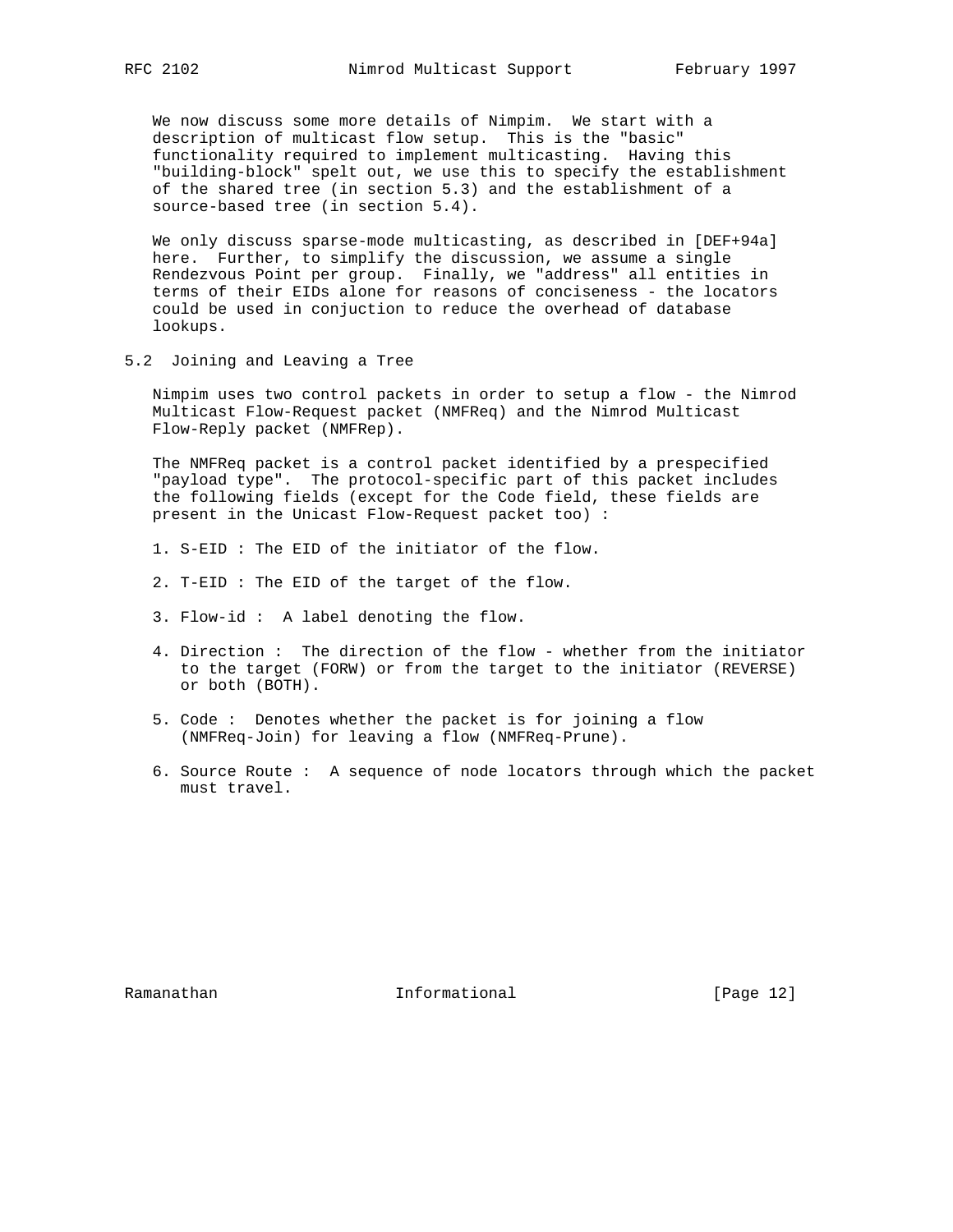We now discuss some more details of Nimpim. We start with a description of multicast flow setup. This is the "basic" functionality required to implement multicasting. Having this "building-block" spelt out, we use this to specify the establishment of the shared tree (in section 5.3) and the establishment of a source-based tree (in section 5.4).

 We only discuss sparse-mode multicasting, as described in [DEF+94a] here. Further, to simplify the discussion, we assume a single Rendezvous Point per group. Finally, we "address" all entities in terms of their EIDs alone for reasons of conciseness - the locators could be used in conjuction to reduce the overhead of database lookups.

5.2 Joining and Leaving a Tree

 Nimpim uses two control packets in order to setup a flow - the Nimrod Multicast Flow-Request packet (NMFReq) and the Nimrod Multicast Flow-Reply packet (NMFRep).

 The NMFReq packet is a control packet identified by a prespecified "payload type". The protocol-specific part of this packet includes the following fields (except for the Code field, these fields are present in the Unicast Flow-Request packet too) :

- 1. S-EID : The EID of the initiator of the flow.
- 2. T-EID : The EID of the target of the flow.
- 3. Flow-id : A label denoting the flow.
- 4. Direction : The direction of the flow whether from the initiator to the target (FORW) or from the target to the initiator (REVERSE) or both (BOTH).
- 5. Code : Denotes whether the packet is for joining a flow (NMFReq-Join) for leaving a flow (NMFReq-Prune).
- 6. Source Route : A sequence of node locators through which the packet must travel.

Ramanathan Informational [Page 12]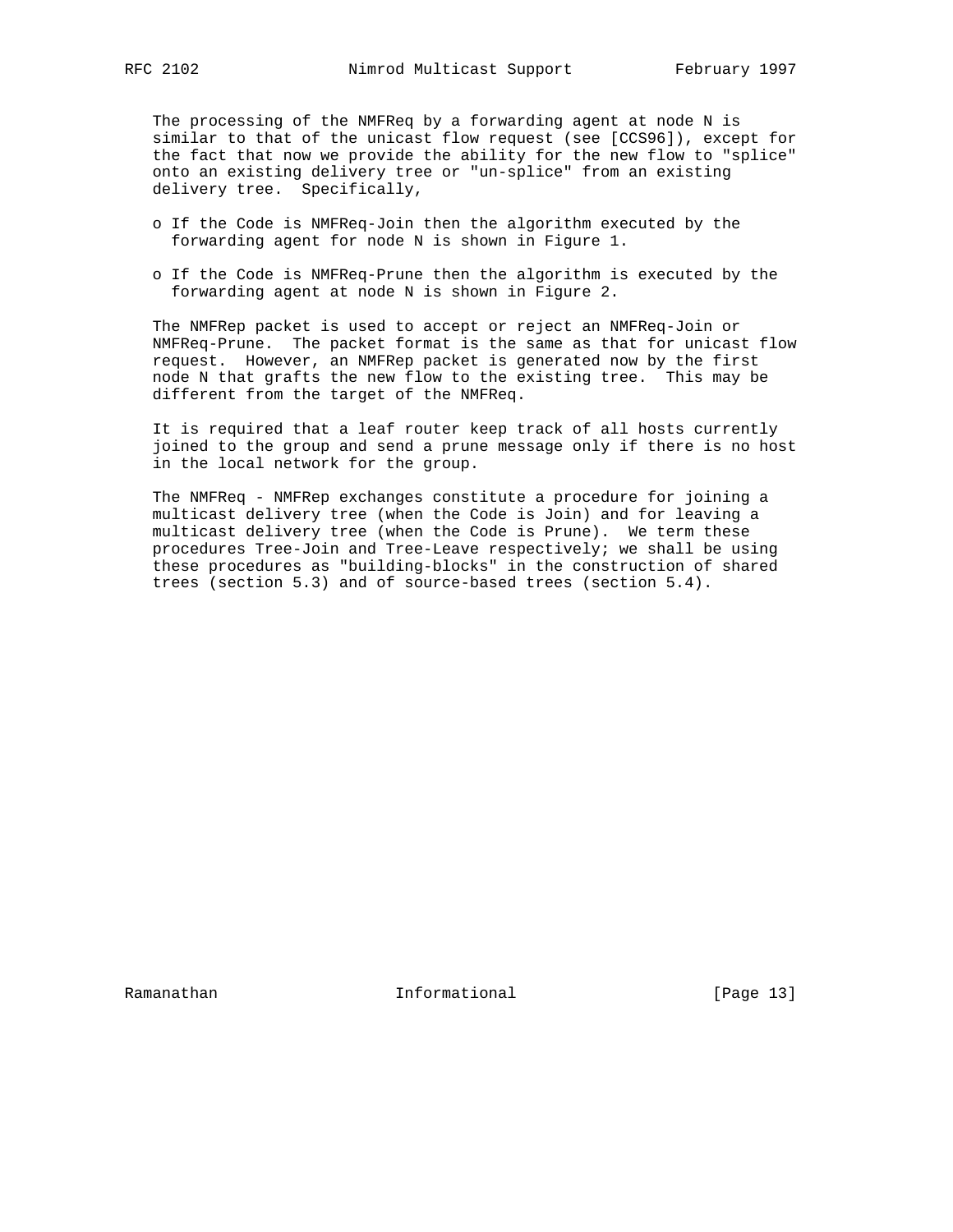The processing of the NMFReq by a forwarding agent at node N is similar to that of the unicast flow request (see [CCS96]), except for the fact that now we provide the ability for the new flow to "splice" onto an existing delivery tree or "un-splice" from an existing delivery tree. Specifically,

- o If the Code is NMFReq-Join then the algorithm executed by the forwarding agent for node N is shown in Figure 1.
- o If the Code is NMFReq-Prune then the algorithm is executed by the forwarding agent at node N is shown in Figure 2.

 The NMFRep packet is used to accept or reject an NMFReq-Join or NMFReq-Prune. The packet format is the same as that for unicast flow request. However, an NMFRep packet is generated now by the first node N that grafts the new flow to the existing tree. This may be different from the target of the NMFReq.

 It is required that a leaf router keep track of all hosts currently joined to the group and send a prune message only if there is no host in the local network for the group.

 The NMFReq - NMFRep exchanges constitute a procedure for joining a multicast delivery tree (when the Code is Join) and for leaving a multicast delivery tree (when the Code is Prune). We term these procedures Tree-Join and Tree-Leave respectively; we shall be using these procedures as "building-blocks" in the construction of shared trees (section 5.3) and of source-based trees (section 5.4).

Ramanathan **Informational** Informational [Page 13]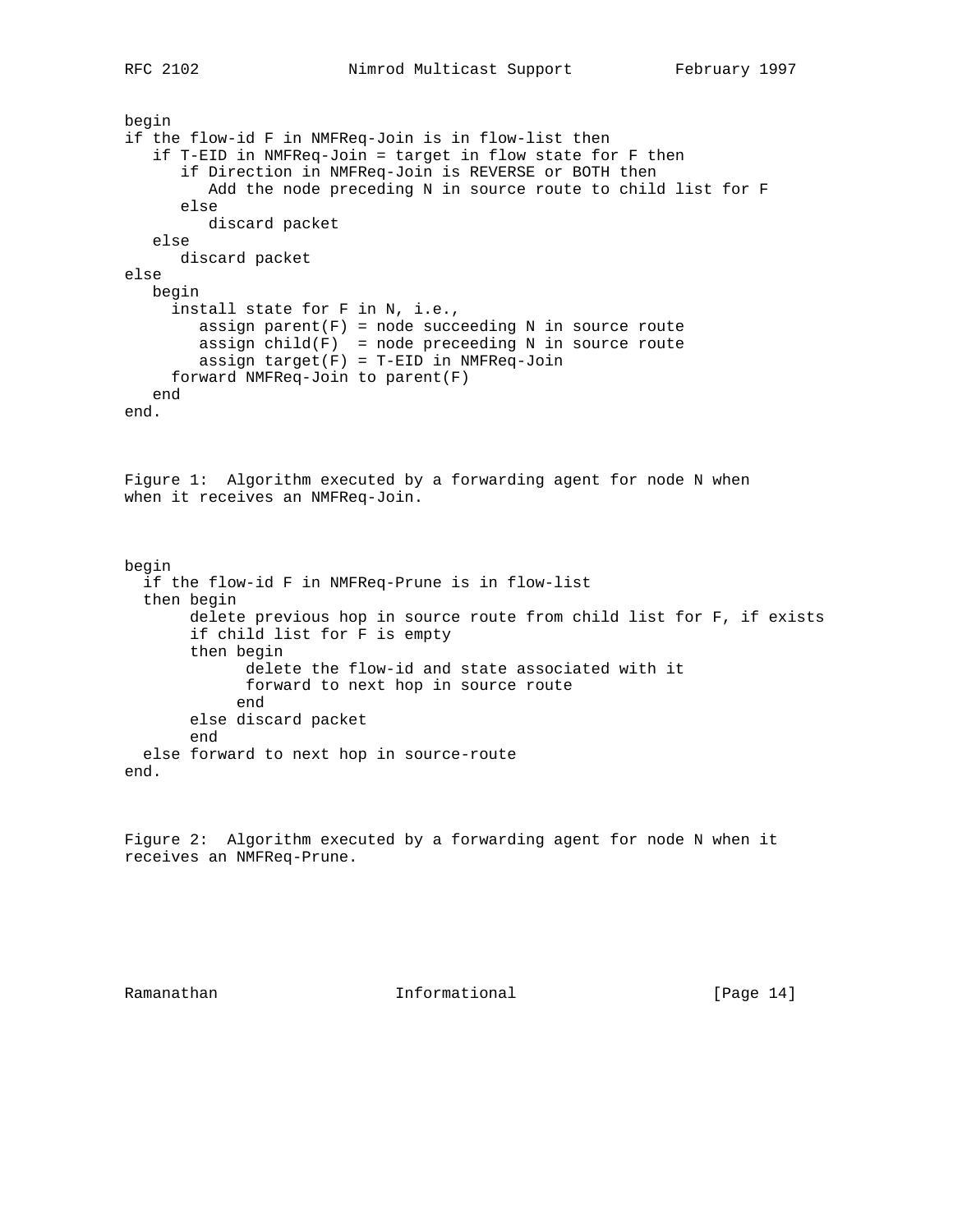```
begin
if the flow-id F in NMFReq-Join is in flow-list then
    if T-EID in NMFReq-Join = target in flow state for F then
       if Direction in NMFReq-Join is REVERSE or BOTH then
          Add the node preceding N in source route to child list for F
       else
          discard packet
    else
       discard packet
else
   begin
      install state for F in N, i.e.,
        assign parent(F) = node succeeding N in source route
 assign child(F) = node preceeding N in source route
 assign target(F) = T-EID in NMFReq-Join
      forward NMFReq-Join to parent(F)
   end
end.
Figure 1: Algorithm executed by a forwarding agent for node N when
when it receives an NMFReq-Join.
begin
   if the flow-id F in NMFReq-Prune is in flow-list
   then begin
        delete previous hop in source route from child list for F, if exists
        if child list for F is empty
        then begin
              delete the flow-id and state associated with it
              forward to next hop in source route
             end
        else discard packet
        end
   else forward to next hop in source-route
end.
```
Figure 2: Algorithm executed by a forwarding agent for node N when it receives an NMFReq-Prune.

Ramanathan **Informational** Informational [Page 14]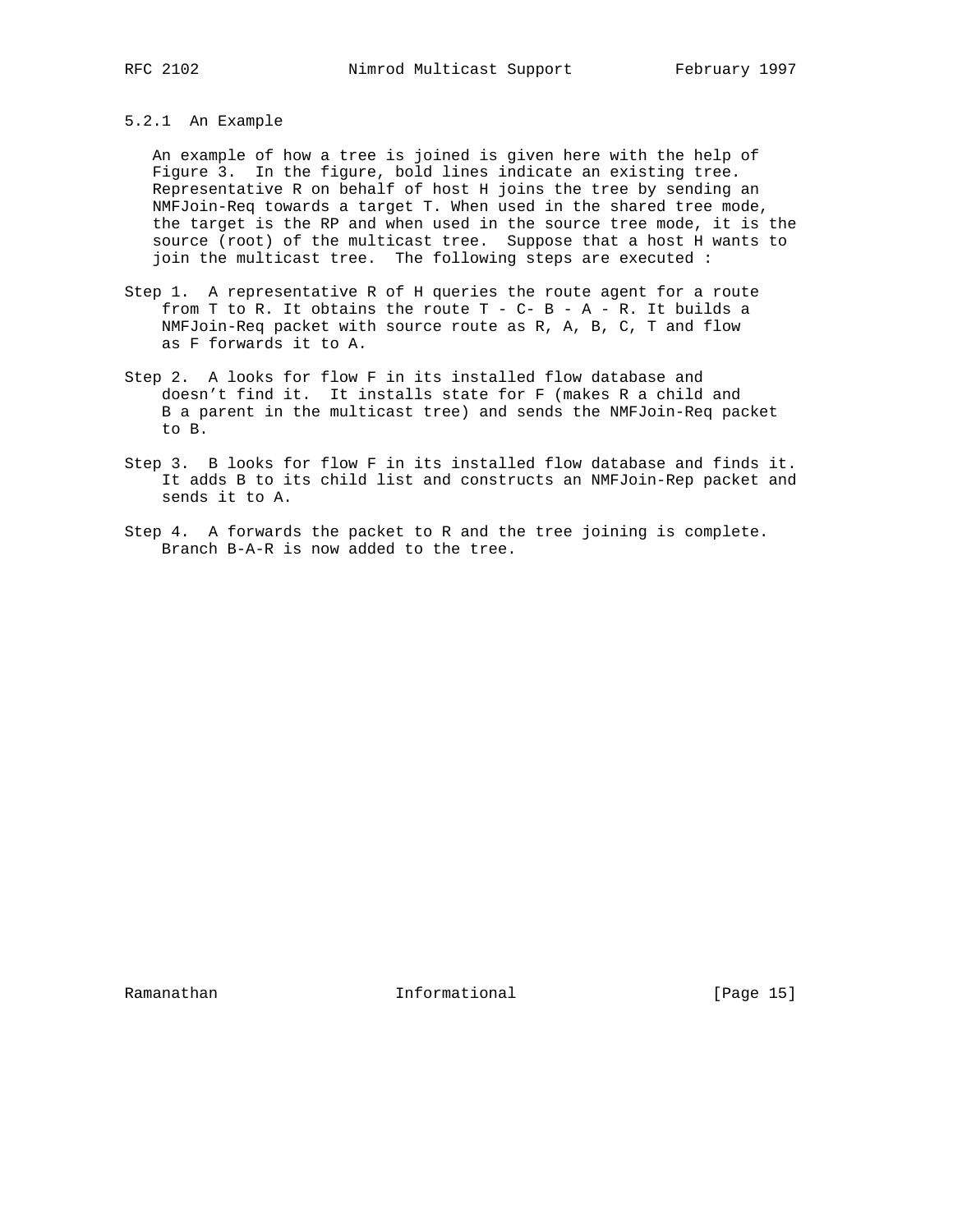# 5.2.1 An Example

 An example of how a tree is joined is given here with the help of Figure 3. In the figure, bold lines indicate an existing tree. Representative R on behalf of host H joins the tree by sending an NMFJoin-Req towards a target T. When used in the shared tree mode, the target is the RP and when used in the source tree mode, it is the source (root) of the multicast tree. Suppose that a host H wants to join the multicast tree. The following steps are executed :

- Step 1. A representative R of H queries the route agent for a route from T to R. It obtains the route  $T - C - B - A - R$ . It builds a NMFJoin-Req packet with source route as R, A, B, C, T and flow as F forwards it to A.
- Step 2. A looks for flow F in its installed flow database and doesn't find it. It installs state for F (makes R a child and B a parent in the multicast tree) and sends the NMFJoin-Req packet to B.
- Step 3. B looks for flow F in its installed flow database and finds it. It adds B to its child list and constructs an NMFJoin-Rep packet and sends it to A.
- Step 4. A forwards the packet to R and the tree joining is complete. Branch B-A-R is now added to the tree.

Ramanathan **Informational** Informational [Page 15]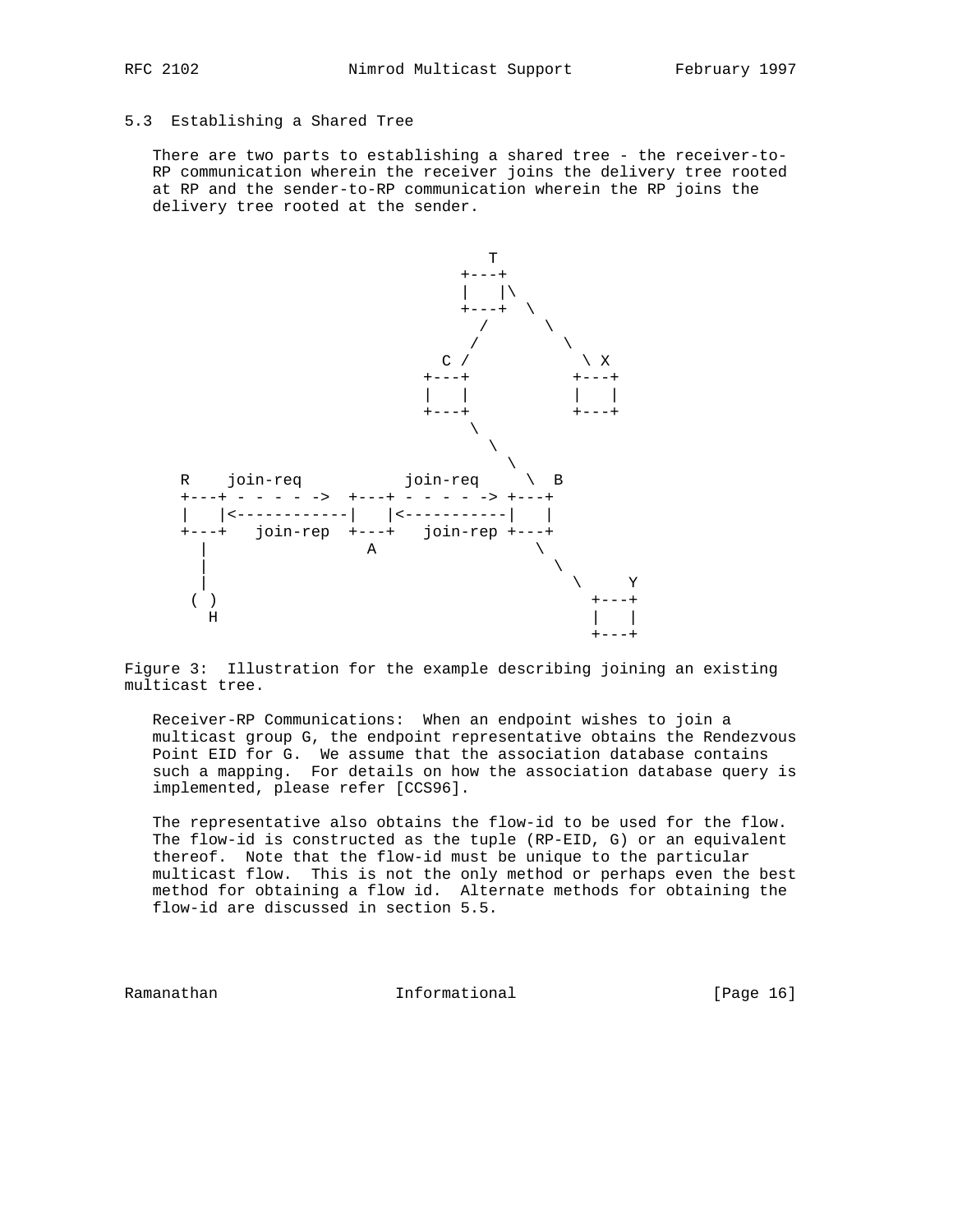# 5.3 Establishing a Shared Tree

 There are two parts to establishing a shared tree - the receiver-to- RP communication wherein the receiver joins the delivery tree rooted at RP and the sender-to-RP communication wherein the RP joins the delivery tree rooted at the sender.



Figure 3: Illustration for the example describing joining an existing multicast tree.

 Receiver-RP Communications: When an endpoint wishes to join a multicast group G, the endpoint representative obtains the Rendezvous Point EID for G. We assume that the association database contains such a mapping. For details on how the association database query is implemented, please refer [CCS96].

 The representative also obtains the flow-id to be used for the flow. The flow-id is constructed as the tuple (RP-EID, G) or an equivalent thereof. Note that the flow-id must be unique to the particular multicast flow. This is not the only method or perhaps even the best method for obtaining a flow id. Alternate methods for obtaining the flow-id are discussed in section 5.5.

Ramanathan **Informational** Informational [Page 16]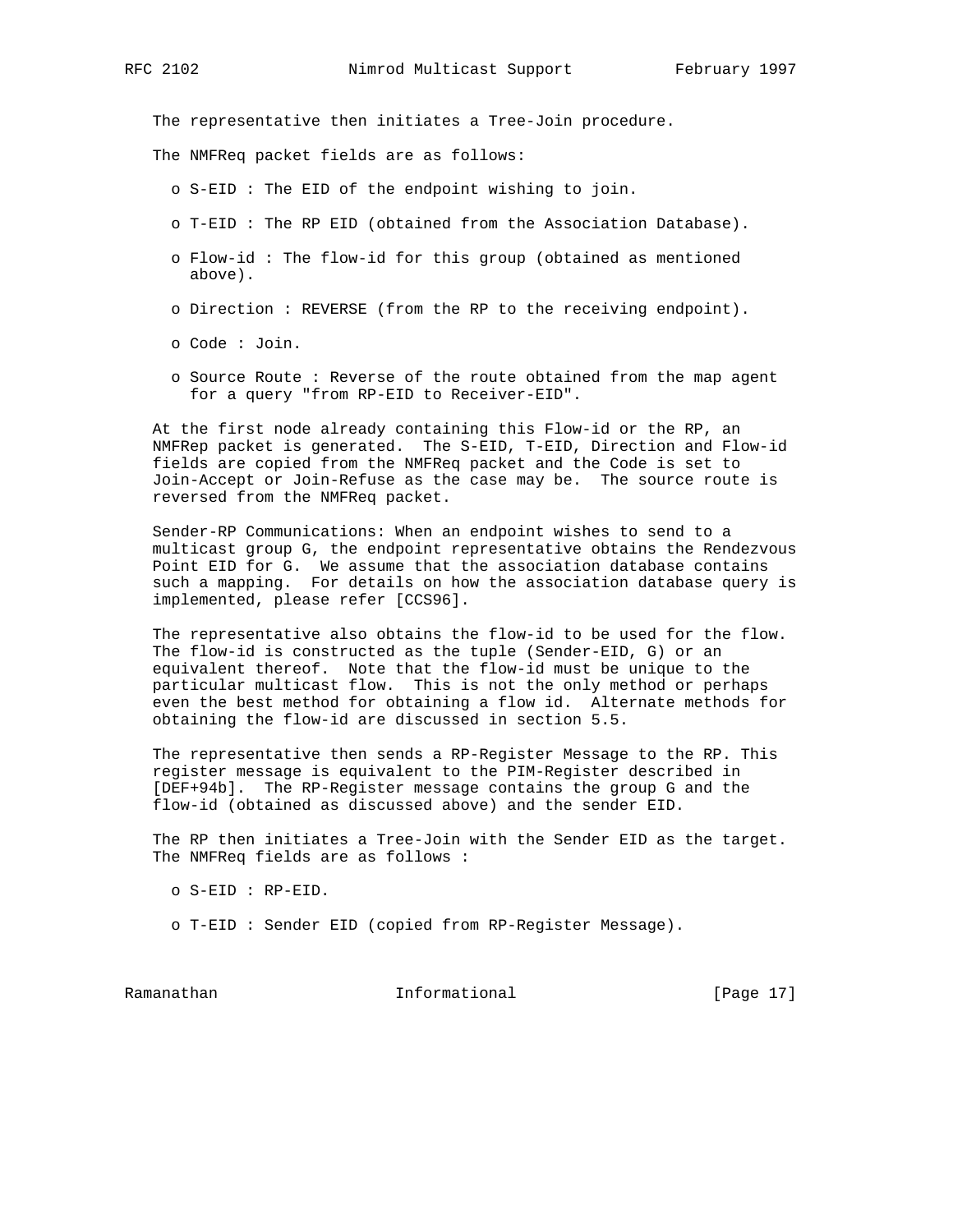The representative then initiates a Tree-Join procedure.

The NMFReq packet fields are as follows:

- o S-EID : The EID of the endpoint wishing to join.
- o T-EID : The RP EID (obtained from the Association Database).
- o Flow-id : The flow-id for this group (obtained as mentioned above).
- o Direction : REVERSE (from the RP to the receiving endpoint).
- o Code : Join.
- o Source Route : Reverse of the route obtained from the map agent for a query "from RP-EID to Receiver-EID".

 At the first node already containing this Flow-id or the RP, an NMFRep packet is generated. The S-EID, T-EID, Direction and Flow-id fields are copied from the NMFReq packet and the Code is set to Join-Accept or Join-Refuse as the case may be. The source route is reversed from the NMFReq packet.

 Sender-RP Communications: When an endpoint wishes to send to a multicast group G, the endpoint representative obtains the Rendezvous Point EID for G. We assume that the association database contains such a mapping. For details on how the association database query is implemented, please refer [CCS96].

 The representative also obtains the flow-id to be used for the flow. The flow-id is constructed as the tuple (Sender-EID, G) or an equivalent thereof. Note that the flow-id must be unique to the particular multicast flow. This is not the only method or perhaps even the best method for obtaining a flow id. Alternate methods for obtaining the flow-id are discussed in section 5.5.

 The representative then sends a RP-Register Message to the RP. This register message is equivalent to the PIM-Register described in [DEF+94b]. The RP-Register message contains the group G and the flow-id (obtained as discussed above) and the sender EID.

 The RP then initiates a Tree-Join with the Sender EID as the target. The NMFReq fields are as follows :

o S-EID : RP-EID.

o T-EID : Sender EID (copied from RP-Register Message).

Ramanathan **Informational** Informational [Page 17]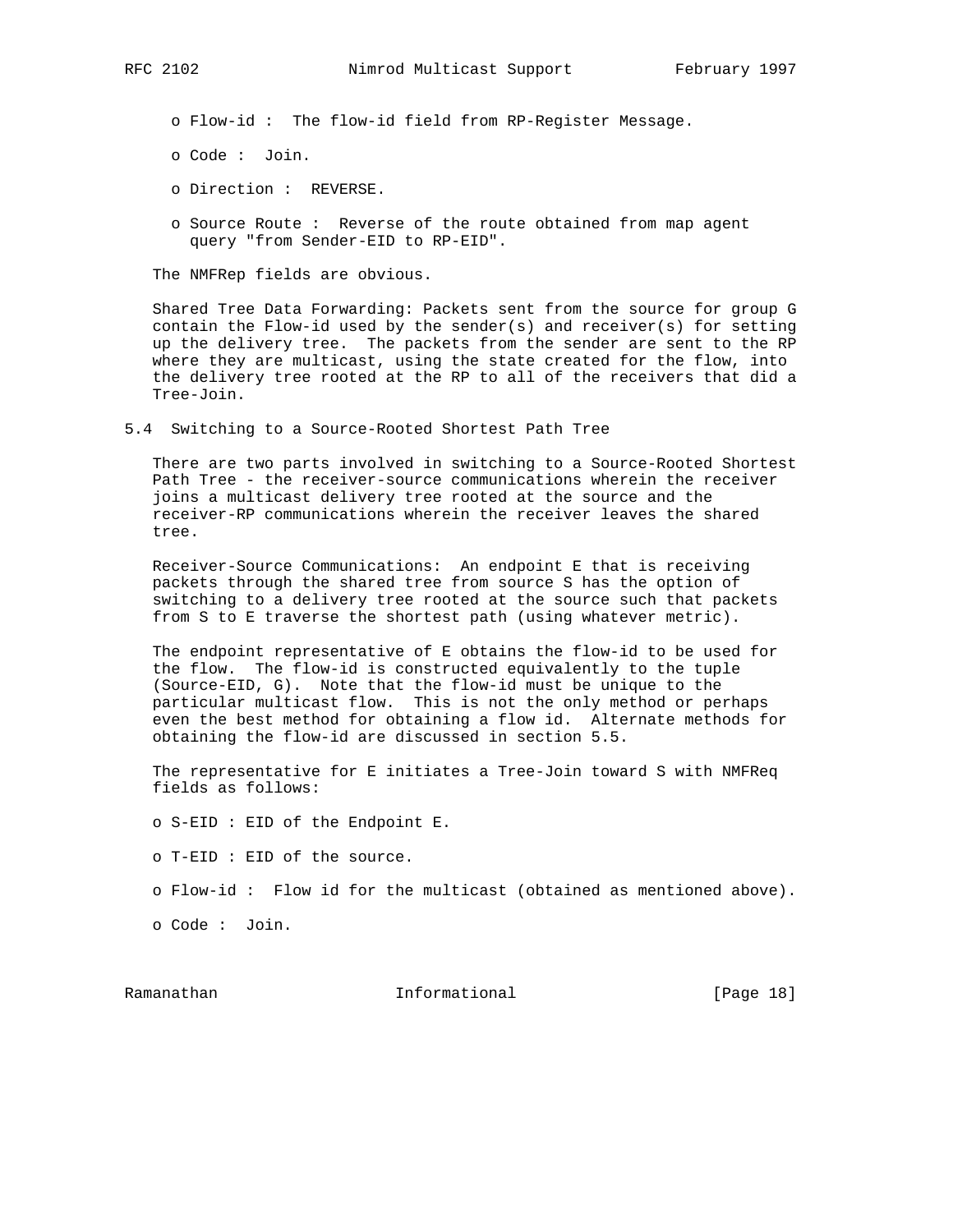o Flow-id : The flow-id field from RP-Register Message.

- o Code : Join.
- o Direction : REVERSE.
- o Source Route : Reverse of the route obtained from map agent query "from Sender-EID to RP-EID".

The NMFRep fields are obvious.

 Shared Tree Data Forwarding: Packets sent from the source for group G contain the Flow-id used by the sender(s) and receiver(s) for setting up the delivery tree. The packets from the sender are sent to the RP where they are multicast, using the state created for the flow, into the delivery tree rooted at the RP to all of the receivers that did a Tree-Join.

5.4 Switching to a Source-Rooted Shortest Path Tree

 There are two parts involved in switching to a Source-Rooted Shortest Path Tree - the receiver-source communications wherein the receiver joins a multicast delivery tree rooted at the source and the receiver-RP communications wherein the receiver leaves the shared tree.

 Receiver-Source Communications: An endpoint E that is receiving packets through the shared tree from source S has the option of switching to a delivery tree rooted at the source such that packets from S to E traverse the shortest path (using whatever metric).

 The endpoint representative of E obtains the flow-id to be used for the flow. The flow-id is constructed equivalently to the tuple (Source-EID, G). Note that the flow-id must be unique to the particular multicast flow. This is not the only method or perhaps even the best method for obtaining a flow id. Alternate methods for obtaining the flow-id are discussed in section 5.5.

 The representative for E initiates a Tree-Join toward S with NMFReq fields as follows:

o S-EID : EID of the Endpoint E.

o T-EID : EID of the source.

o Flow-id : Flow id for the multicast (obtained as mentioned above).

o Code : Join.

Ramanathan Informational [Page 18]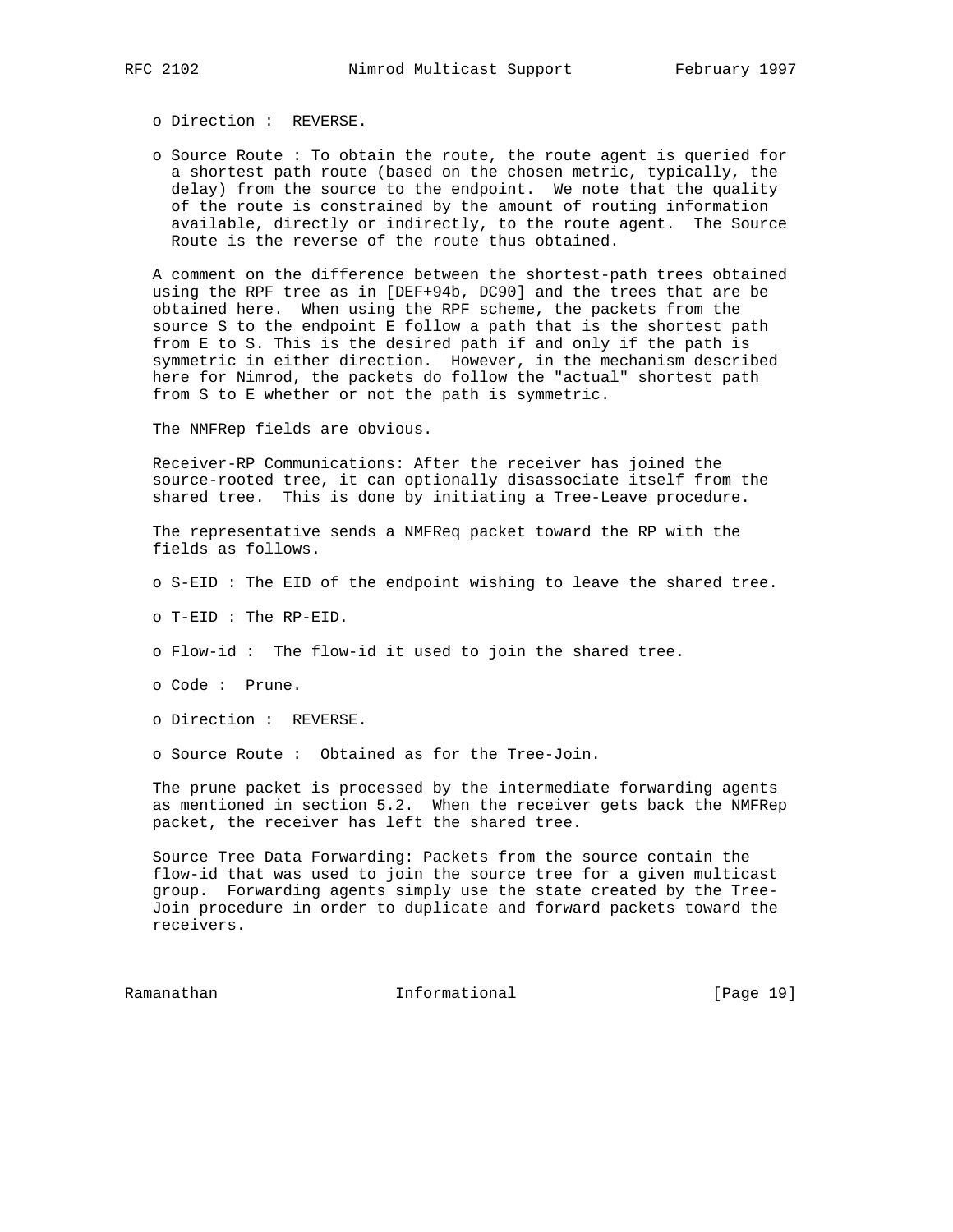o Direction : REVERSE.

 o Source Route : To obtain the route, the route agent is queried for a shortest path route (based on the chosen metric, typically, the delay) from the source to the endpoint. We note that the quality of the route is constrained by the amount of routing information available, directly or indirectly, to the route agent. The Source Route is the reverse of the route thus obtained.

 A comment on the difference between the shortest-path trees obtained using the RPF tree as in [DEF+94b, DC90] and the trees that are be obtained here. When using the RPF scheme, the packets from the source S to the endpoint E follow a path that is the shortest path from E to S. This is the desired path if and only if the path is symmetric in either direction. However, in the mechanism described here for Nimrod, the packets do follow the "actual" shortest path from S to E whether or not the path is symmetric.

The NMFRep fields are obvious.

 Receiver-RP Communications: After the receiver has joined the source-rooted tree, it can optionally disassociate itself from the shared tree. This is done by initiating a Tree-Leave procedure.

 The representative sends a NMFReq packet toward the RP with the fields as follows.

- o S-EID : The EID of the endpoint wishing to leave the shared tree.
- o T-EID : The RP-EID.
- o Flow-id : The flow-id it used to join the shared tree.
- o Code : Prune.
- o Direction : REVERSE.
- o Source Route : Obtained as for the Tree-Join.

 The prune packet is processed by the intermediate forwarding agents as mentioned in section 5.2. When the receiver gets back the NMFRep packet, the receiver has left the shared tree.

 Source Tree Data Forwarding: Packets from the source contain the flow-id that was used to join the source tree for a given multicast group. Forwarding agents simply use the state created by the Tree- Join procedure in order to duplicate and forward packets toward the receivers.

Ramanathan Informational [Page 19]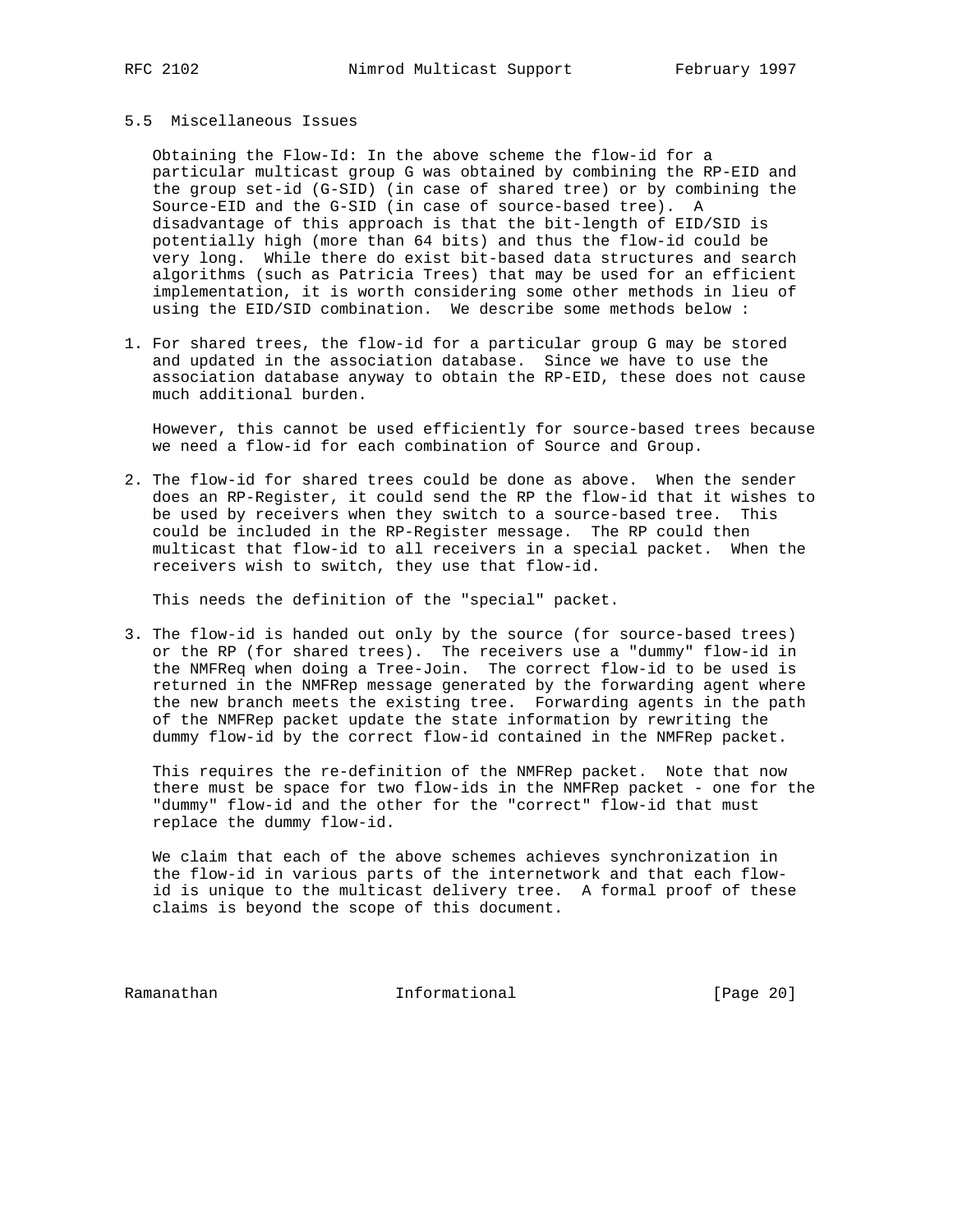### 5.5 Miscellaneous Issues

 Obtaining the Flow-Id: In the above scheme the flow-id for a particular multicast group G was obtained by combining the RP-EID and the group set-id (G-SID) (in case of shared tree) or by combining the Source-EID and the G-SID (in case of source-based tree). A disadvantage of this approach is that the bit-length of EID/SID is potentially high (more than 64 bits) and thus the flow-id could be very long. While there do exist bit-based data structures and search algorithms (such as Patricia Trees) that may be used for an efficient implementation, it is worth considering some other methods in lieu of using the EID/SID combination. We describe some methods below :

1. For shared trees, the flow-id for a particular group G may be stored and updated in the association database. Since we have to use the association database anyway to obtain the RP-EID, these does not cause much additional burden.

 However, this cannot be used efficiently for source-based trees because we need a flow-id for each combination of Source and Group.

2. The flow-id for shared trees could be done as above. When the sender does an RP-Register, it could send the RP the flow-id that it wishes to be used by receivers when they switch to a source-based tree. This could be included in the RP-Register message. The RP could then multicast that flow-id to all receivers in a special packet. When the receivers wish to switch, they use that flow-id.

This needs the definition of the "special" packet.

3. The flow-id is handed out only by the source (for source-based trees) or the RP (for shared trees). The receivers use a "dummy" flow-id in the NMFReq when doing a Tree-Join. The correct flow-id to be used is returned in the NMFRep message generated by the forwarding agent where the new branch meets the existing tree. Forwarding agents in the path of the NMFRep packet update the state information by rewriting the dummy flow-id by the correct flow-id contained in the NMFRep packet.

 This requires the re-definition of the NMFRep packet. Note that now there must be space for two flow-ids in the NMFRep packet - one for the "dummy" flow-id and the other for the "correct" flow-id that must replace the dummy flow-id.

 We claim that each of the above schemes achieves synchronization in the flow-id in various parts of the internetwork and that each flow id is unique to the multicast delivery tree. A formal proof of these claims is beyond the scope of this document.

Ramanathan Informational [Page 20]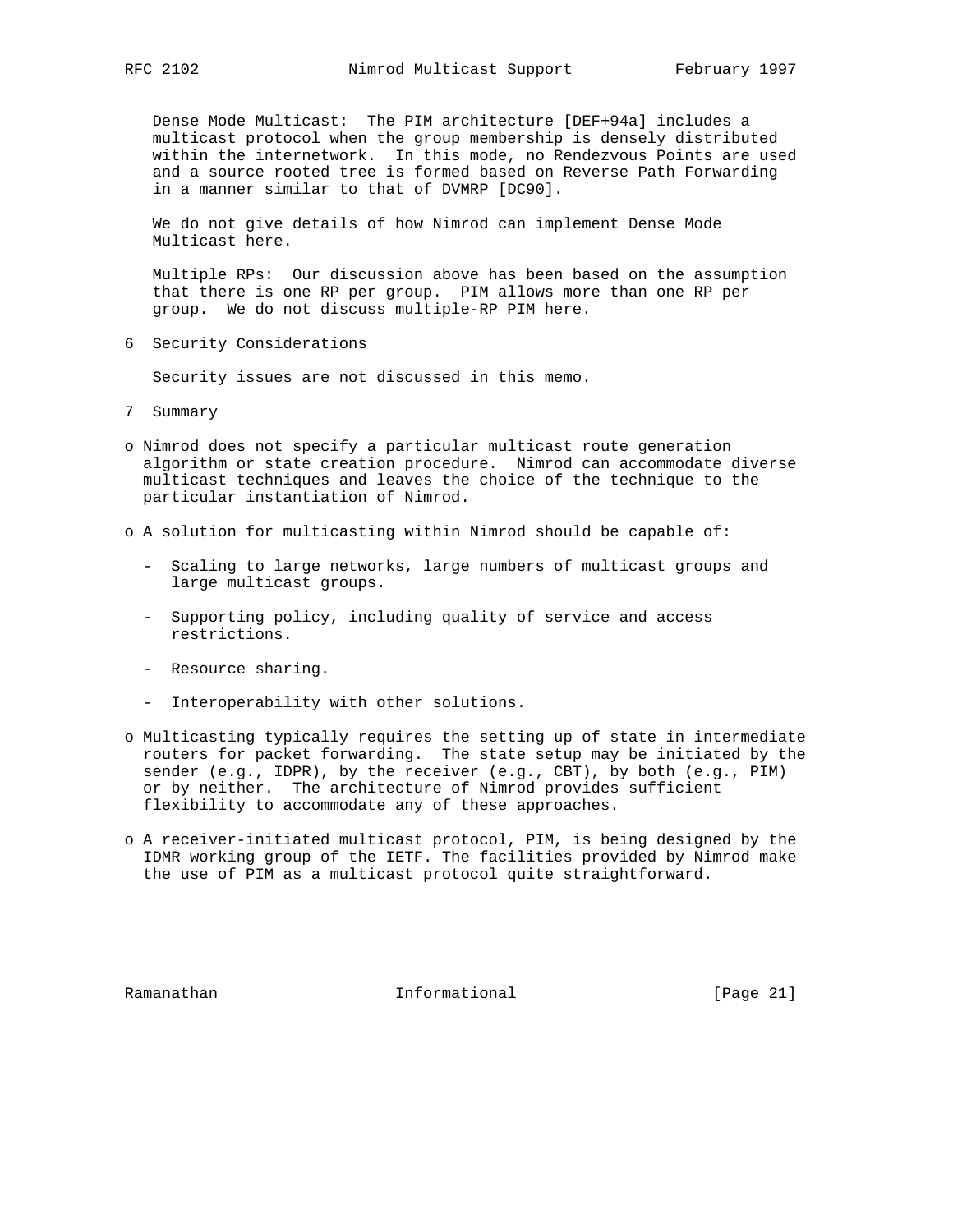Dense Mode Multicast: The PIM architecture [DEF+94a] includes a multicast protocol when the group membership is densely distributed within the internetwork. In this mode, no Rendezvous Points are used and a source rooted tree is formed based on Reverse Path Forwarding in a manner similar to that of DVMRP [DC90].

 We do not give details of how Nimrod can implement Dense Mode Multicast here.

 Multiple RPs: Our discussion above has been based on the assumption that there is one RP per group. PIM allows more than one RP per group. We do not discuss multiple-RP PIM here.

6 Security Considerations

Security issues are not discussed in this memo.

- 7 Summary
- o Nimrod does not specify a particular multicast route generation algorithm or state creation procedure. Nimrod can accommodate diverse multicast techniques and leaves the choice of the technique to the particular instantiation of Nimrod.
- o A solution for multicasting within Nimrod should be capable of:
	- Scaling to large networks, large numbers of multicast groups and large multicast groups.
	- Supporting policy, including quality of service and access restrictions.
	- Resource sharing.
	- Interoperability with other solutions.
- o Multicasting typically requires the setting up of state in intermediate routers for packet forwarding. The state setup may be initiated by the sender (e.g., IDPR), by the receiver (e.g., CBT), by both (e.g., PIM) or by neither. The architecture of Nimrod provides sufficient flexibility to accommodate any of these approaches.
- o A receiver-initiated multicast protocol, PIM, is being designed by the IDMR working group of the IETF. The facilities provided by Nimrod make the use of PIM as a multicast protocol quite straightforward.

Ramanathan Informational [Page 21]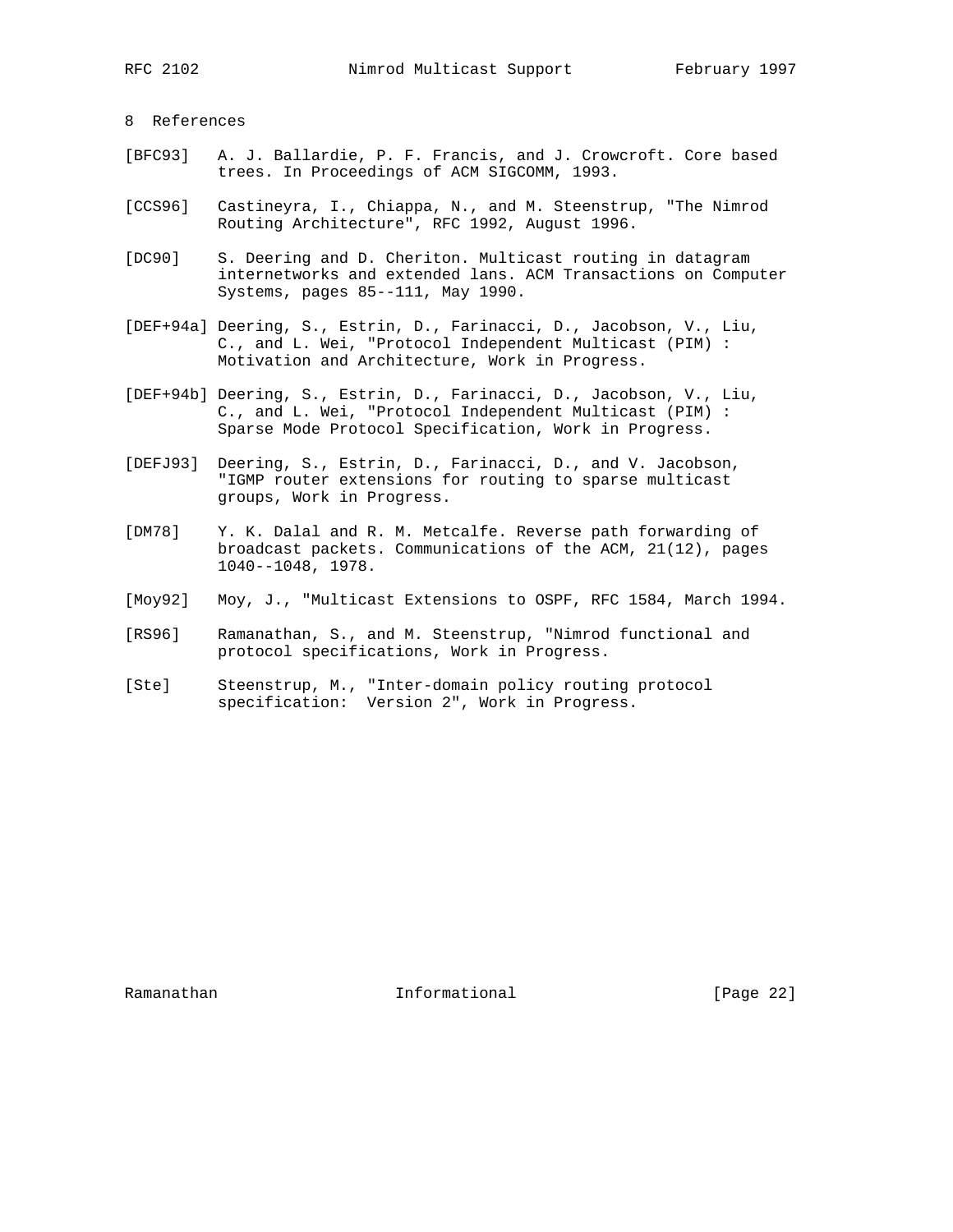# 8 References

- [BFC93] A. J. Ballardie, P. F. Francis, and J. Crowcroft. Core based trees. In Proceedings of ACM SIGCOMM, 1993.
- [CCS96] Castineyra, I., Chiappa, N., and M. Steenstrup, "The Nimrod Routing Architecture", RFC 1992, August 1996.
- [DC90] S. Deering and D. Cheriton. Multicast routing in datagram internetworks and extended lans. ACM Transactions on Computer Systems, pages 85--111, May 1990.
- [DEF+94a] Deering, S., Estrin, D., Farinacci, D., Jacobson, V., Liu, C., and L. Wei, "Protocol Independent Multicast (PIM) : Motivation and Architecture, Work in Progress.
- [DEF+94b] Deering, S., Estrin, D., Farinacci, D., Jacobson, V., Liu, C., and L. Wei, "Protocol Independent Multicast (PIM) : Sparse Mode Protocol Specification, Work in Progress.
- [DEFJ93] Deering, S., Estrin, D., Farinacci, D., and V. Jacobson, "IGMP router extensions for routing to sparse multicast groups, Work in Progress.
- [DM78] Y. K. Dalal and R. M. Metcalfe. Reverse path forwarding of broadcast packets. Communications of the ACM, 21(12), pages 1040--1048, 1978.
- [Moy92] Moy, J., "Multicast Extensions to OSPF, RFC 1584, March 1994.
- [RS96] Ramanathan, S., and M. Steenstrup, "Nimrod functional and protocol specifications, Work in Progress.
- [Ste] Steenstrup, M., "Inter-domain policy routing protocol specification: Version 2", Work in Progress.

Ramanathan **Informational** Informational [Page 22]